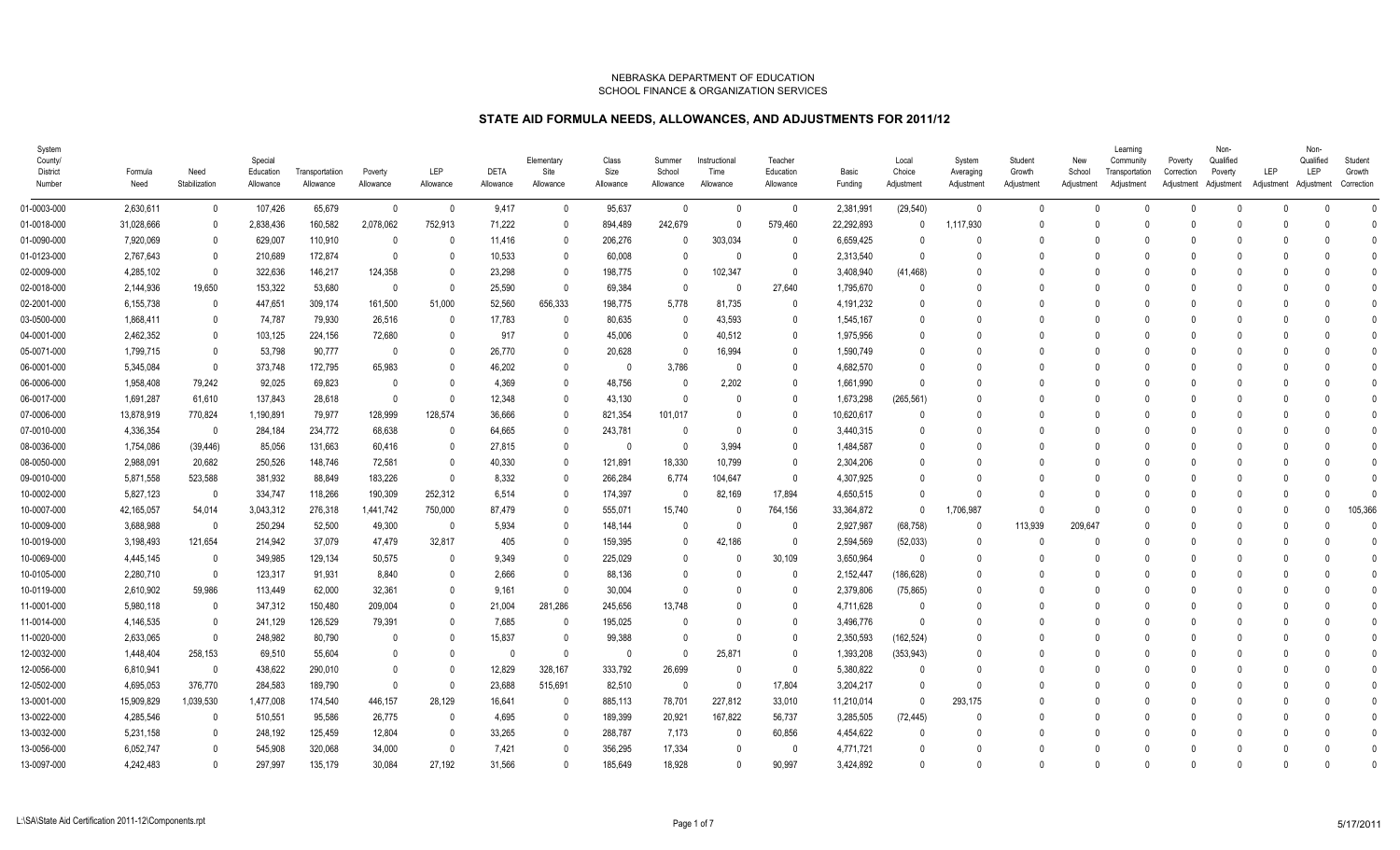| System<br>County/<br><b>District</b><br>Number | Formula<br>Need | Need<br>Stabilization | Special<br>Education<br>Allowance | Transportatiion<br>Allowance | Poverty<br>Allowance | LEP<br>Allowance | <b>DETA</b><br>Allowance | Elementary<br>Site<br>Allowance | Class<br>Size<br>Allowance | Summer<br>School<br>Allowance | Instructional<br>Time<br>Allowance | Teacher<br>Education<br>Allowance | Basic<br>Funding | Local<br>Choice<br>Adjustment | System<br>Averaging<br>Adjustment | Student<br>Growth<br>Adjustment | New<br>School<br>Adjustment | Learning<br>Community<br>Transportation<br>Adjustment | Poverty<br>Correction | Non-<br>Qualified<br>Poverty<br>Adjustment Adjustment | LEP<br>Adjustment | Non-<br>Qualified<br>LEP<br>Adjustment | Student<br>Growth<br>Correction |
|------------------------------------------------|-----------------|-----------------------|-----------------------------------|------------------------------|----------------------|------------------|--------------------------|---------------------------------|----------------------------|-------------------------------|------------------------------------|-----------------------------------|------------------|-------------------------------|-----------------------------------|---------------------------------|-----------------------------|-------------------------------------------------------|-----------------------|-------------------------------------------------------|-------------------|----------------------------------------|---------------------------------|
| 01-0003-000                                    | 2,630,611       | $\Omega$              | 107,426                           | 65,679                       | $\mathbf{0}$         | - 0              | 9,417                    | $\mathbf{0}$                    | 95,637                     | $\mathbf{0}$                  | 0                                  | $\mathbf 0$                       | 2,381,991        | (29, 540)                     | $\overline{0}$                    | $\Omega$                        | $\Omega$                    | $\Omega$                                              | $\Omega$              |                                                       | $\Omega$          | $\Omega$                               | $\Omega$                        |
| 01-0018-000                                    | 31,028,666      |                       | 2,838,436                         | 160,582                      | 2,078,062            | 752,913          | 71,222                   | $\mathbf{0}$                    | 894,489                    | 242,679                       | 0                                  | 579,460                           | 22,292,893       | $\Omega$                      | 1,117,930                         | $\Omega$                        | $\Omega$                    | C                                                     |                       |                                                       |                   |                                        | $\mathbf{0}$                    |
| 01-0090-000                                    | 7,920,069       | $\Omega$              | 629,007                           | 110,910                      | 0                    | $\Omega$         | 11,416                   | 0                               | 206,276                    | $\Omega$                      | 303,034                            | 0                                 | 6,659,425        | $\Omega$                      | $\Omega$                          | $\Omega$                        | $\Omega$                    | -C                                                    |                       |                                                       |                   |                                        | $\Omega$                        |
| 01-0123-000                                    | 2,767,643       | $\Omega$              | 210,689                           | 172,874                      | $\overline{0}$       |                  | 10,533                   | $\mathbf{0}$                    | 60,008                     | $\mathbf{0}$                  | $\Omega$                           | 0                                 | 2,313,540        | $\Omega$                      | $\Omega$                          | $\Omega$                        |                             |                                                       |                       |                                                       |                   |                                        |                                 |
| 02-0009-000                                    | 4,285,102       | $\Omega$              | 322,636                           | 146,217                      | 124,358              |                  | 23,298                   | $\Omega$                        | 198,775                    | $\Omega$                      | 102,347                            | $\overline{0}$                    | 3,408,940        | (41, 468)                     | $\Omega$                          | $\Omega$                        |                             |                                                       |                       |                                                       |                   |                                        |                                 |
| 02-0018-000                                    | 2,144,936       | 19,650                | 153,322                           | 53,680                       | - 0                  |                  | 25,590                   | $\Omega$                        | 69,384                     | $\Omega$                      | - 0                                | 27,640                            | 1,795,670        | $\Omega$                      | $\Omega$                          | $\Omega$                        |                             |                                                       |                       |                                                       |                   |                                        |                                 |
| 02-2001-000                                    | 6,155,738       |                       | 447,651                           | 309,174                      | 161,500              | 51,000           | 52,560                   | 656,333                         | 198,775                    | 5,778                         | 81,735                             | $\mathbf{0}$                      | 4,191,232        | $\Omega$                      | $\Omega$                          | $\Omega$                        |                             |                                                       |                       |                                                       |                   |                                        |                                 |
| 03-0500-000                                    | 1,868,411       | $\Omega$              | 74,787                            | 79,930                       | 26,516               |                  | 17,783                   | $\Omega$                        | 80,635                     | 0                             | 43,593                             | 0                                 | 1,545,167        | 0                             | - 0                               |                                 |                             |                                                       |                       |                                                       |                   |                                        |                                 |
| 04-0001-000                                    | 2,462,352       |                       | 103,125                           | 224,156                      | 72,680               |                  | 917                      | $\Omega$                        | 45,006                     | $\mathbf{0}$                  | 40,512                             | 0                                 | 1,975,956        | $\Omega$                      |                                   | $\Omega$                        |                             |                                                       |                       |                                                       |                   |                                        |                                 |
| 05-0071-000                                    | 1,799,715       | $\mathbf{0}$          | 53,798                            | 90,777                       | 0                    |                  | 26,770                   | $\Omega$                        | 20,628                     | $\mathbf 0$                   | 16,994                             | $\mathbf 0$                       | 1,590,749        | 0                             | $\Omega$                          | $\Omega$                        |                             |                                                       |                       |                                                       |                   |                                        |                                 |
| 06-0001-000                                    | 5,345,084       | $\Omega$              | 373,748                           | 172,795                      | 65,983               |                  | 46,202                   | $\mathbf{0}$                    | - 0                        | 3,786                         | 0                                  | $\mathbf{0}$                      | 4,682,570        | $\Omega$                      | $\Omega$                          | $\Omega$                        | $\Omega$                    | -C                                                    |                       |                                                       |                   |                                        |                                 |
| 06-0006-000                                    | 1,958,408       | 79,242                | 92,025                            | 69,823                       | $\mathbf{0}$         |                  | 4,369                    | $\mathbf{0}$                    | 48,756                     | 0                             | 2,202                              | $\mathbf{0}$                      | 1,661,990        | $\Omega$                      | $\Omega$                          | $\Omega$                        |                             | -C                                                    |                       |                                                       |                   |                                        |                                 |
| 06-0017-000                                    | 1,691,287       | 61,610                | 137,843                           | 28,618                       | - 0                  |                  | 12,348                   | $\mathbf{0}$                    | 43,130                     | $\Omega$                      | -0                                 | 0                                 | 1,673,298        | (265, 561)                    | $\Omega$                          | $\Omega$                        |                             |                                                       |                       |                                                       |                   |                                        |                                 |
| 07-0006-000                                    | 13,878,919      | 770,824               | 1,190,891                         | 79,977                       | 128,999              | 128,574          | 36,666                   | $\Omega$                        | 821,354                    | 101,017                       | - 0                                | $\mathbf{0}$                      | 10,620,617       | $\Omega$                      | $\Omega$                          | $\Omega$                        |                             | -0                                                    |                       |                                                       |                   |                                        |                                 |
| 07-0010-000                                    | 4,336,354       | - 0                   | 284,184                           | 234,772                      | 68,638               |                  | 64,665                   | $\mathsf{O}$                    | 243,781                    | $\Omega$                      | $\Omega$                           | $\mathbf{0}$                      | 3,440,315        | $\Omega$                      | $\Omega$                          | $\Omega$                        | $\cap$                      |                                                       |                       |                                                       |                   |                                        |                                 |
| 08-0036-000                                    | 1,754,086       | (39, 446)             | 85,056                            | 131,663                      | 60,416               |                  | 27,815                   | $\Omega$                        | - 0                        | $\mathbf 0$                   | 3,994                              | 0                                 | 1,484,587        | 0                             | $\Omega$                          | $\Omega$                        |                             |                                                       |                       |                                                       |                   |                                        |                                 |
| 08-0050-000                                    | 2,988,091       | 20,682                | 250,526                           | 148,746                      | 72,581               |                  | 40,330                   | $\Omega$                        | 121,891                    | 18,330                        | 10,799                             | 0                                 | 2,304,206        | 0                             | - 0                               |                                 |                             |                                                       |                       |                                                       |                   |                                        |                                 |
| 09-0010-000                                    | 5,871,558       | 523,588               | 381,932                           | 88,849                       | 183,226              |                  | 8,332                    | $\Omega$                        | 266,284                    | 6,774                         | 104,647                            | $\mathbf 0$                       | 4,307,925        | 0                             | $\Omega$                          | $\Omega$                        |                             | -0                                                    |                       |                                                       |                   |                                        |                                 |
| 10-0002-000                                    | 5,827,123       | $\Omega$              | 334,747                           | 118,266                      | 190,309              | 252,312          | 6,514                    | $\Omega$                        | 174,397                    | $\Omega$                      | 82,169                             | 17,894                            | 4,650,515        | $\Omega$                      | $\Omega$                          | $\Omega$                        |                             | -0                                                    |                       |                                                       |                   |                                        |                                 |
| 10-0007-000                                    | 42,165,057      | 54,014                | 3,043,312                         | 276,318                      | 1,441,742            | 750,000          | 87.479                   | $\mathbf{0}$                    | 555,071                    | 15,740                        | - 0                                | 764,156                           | 33,364,872       | $\Omega$                      | 1,706,987                         | $\Omega$                        | $\Omega$                    | $\Omega$                                              |                       |                                                       | $\cap$            |                                        | 105,366                         |
| 10-0009-000                                    | 3,688,988       | - 0                   | 250,294                           | 52,500                       | 49,300               | - 0              | 5,934                    | $\Omega$                        | 148,144                    | 0                             | -0                                 | - 0                               | 2,927,987        | (68, 758)                     | 0                                 | 113,939                         | 209,647                     | -0                                                    |                       |                                                       |                   |                                        |                                 |
| 10-0019-000                                    | 3,198,493       | 121,654               | 214,942                           | 37,079                       | 47,479               | 32,817           | 405                      | $\Omega$                        | 159,395                    | $\mathbf{0}$                  | 42,186                             | $\mathbf{0}$                      | 2,594,569        | (52,033)                      | $\Omega$                          | $\Omega$                        |                             | -0                                                    |                       |                                                       |                   |                                        |                                 |
| 10-0069-000                                    | 4,445,145       | $\Omega$              | 349,985                           | 129,134                      | 50,575               |                  | 9,349                    | $\Omega$                        | 225,029                    | $\Omega$                      | - 0                                | 30,109                            | 3,650,964        | $\Omega$                      | $\Omega$                          | $\bigcap$                       |                             |                                                       |                       |                                                       |                   |                                        |                                 |
| 10-0105-000                                    | 2,280,710       | $\Omega$              | 123,317                           | 91,931                       | 8,840                |                  | 2,666                    | $\mathbf{0}$                    | 88,136                     | $\mathbf{0}$                  | -0                                 | $\mathbf{0}$                      | 2,152,447        | (186, 628)                    | $\Omega$                          | $\Omega$                        |                             |                                                       |                       |                                                       |                   |                                        |                                 |
| 10-0119-000                                    | 2,610,902       | 59,986                | 113,449                           | 62,000                       | 32,361               |                  | 9,161                    | $\mathsf{O}$                    | 30,004                     | $\mathbf{0}$                  | 0                                  | 0                                 | 2,379,806        | (75, 865)                     | $\Omega$                          | $\Omega$                        | $\Omega$                    | -0                                                    |                       |                                                       |                   |                                        |                                 |
| 11-0001-000                                    | 5,980,118       |                       | 347,312                           | 150,480                      | 209,004              |                  | 21,004                   | 281,286                         | 245,656                    | 13,748                        |                                    | 0                                 | 4,711,628        | $\Omega$                      | $\Omega$                          | $\Omega$                        |                             |                                                       |                       |                                                       |                   |                                        |                                 |
| 11-0014-000                                    | 4,146,535       | - 0                   | 241,129                           | 126,529                      | 79,391               |                  | 7,685                    | $\Omega$                        | 195,025                    | 0                             | O                                  | 0                                 | 3,496,776        | $\Omega$                      | $\Omega$                          | $\Omega$                        |                             | -0                                                    |                       |                                                       |                   |                                        |                                 |
| 11-0020-000                                    | 2,633,065       |                       | 248,982                           | 80,790                       | $\mathbf{0}$         |                  | 15,837                   | $\Omega$                        | 99,388                     | $\mathbf{0}$                  | $\Omega$                           | $\mathbf{0}$                      | 2,350,593        | (162, 524)                    | $\Omega$                          | $\Omega$                        | $\Omega$                    |                                                       |                       |                                                       |                   |                                        |                                 |
| 12-0032-000                                    | 1,448,404       | 258,153               | 69,510                            | 55,604                       | 0                    |                  | - 0                      | 0                               | - 0                        | $\mathbf 0$                   | 25,871                             | 0                                 | 1,393,208        | (353, 943)                    | $\Omega$                          | $\Omega$                        | $\Omega$                    | -C                                                    |                       |                                                       |                   |                                        |                                 |
| 12-0056-000                                    | 6,810,941       | - 0                   | 438,622                           | 290,010                      | $\mathbf{0}$         |                  | 12,829                   | 328,167                         | 333,792                    | 26,699                        | $\mathbf{0}$                       | $\mathbf 0$                       | 5,380,822        | $\Omega$                      | $\Omega$                          | $\Omega$                        |                             |                                                       |                       |                                                       |                   |                                        |                                 |
| 12-0502-000                                    | 4,695,053       | 376,770               | 284,583                           | 189,790                      | $\Omega$             |                  | 23,688                   | 515,691                         | 82,510                     | $\Omega$                      | $\Omega$                           | 17,804                            | 3,204,217        | $\Omega$                      | $\Omega$                          | $\Omega$                        |                             |                                                       |                       |                                                       |                   |                                        |                                 |
| 13-0001-000                                    | 15,909,829      | 1,039,530             | 1,477,008                         | 174,540                      | 446,157              | 28,129           | 16,641                   | -0                              | 885,113                    | 78,701                        | 227,812                            | 33,010                            | 11,210,014       | $\Omega$                      | 293,175                           | $\Omega$                        |                             |                                                       |                       |                                                       |                   |                                        |                                 |
| 13-0022-000                                    | 4,285,546       |                       | 510,551                           | 95,586                       | 26,775               |                  | 4,695                    | $\Omega$                        | 189,399                    | 20,921                        | 167,822                            | 56,737                            | 3,285,505        | (72, 445)                     | $\Omega$                          | $\Omega$                        |                             |                                                       |                       |                                                       |                   |                                        |                                 |
| 13-0032-000                                    | 5,231,158       | - ()                  | 248,192                           | 125,459                      | 12,804               |                  | 33,265                   | $\Omega$                        | 288,787                    | 7,173                         | - 0                                | 60,856                            | 4,454,622        | 0                             | $\Omega$                          | $\Omega$                        |                             | -0                                                    |                       |                                                       |                   |                                        |                                 |
| 13-0056-000                                    | 6,052,747       |                       | 545,908                           | 320,068                      | 34,000               |                  | 7,421                    | $\Omega$                        | 356,295                    | 17,334                        | -0                                 | -0                                | 4,771,721        | 0                             | - 0                               | $\Omega$                        |                             | -0                                                    |                       |                                                       |                   |                                        |                                 |
| 13-0097-000                                    | 4.242.483       | $\Omega$              | 297.997                           | 135,179                      | 30.084               | 27.192           | 31,566                   | $\Omega$                        | 185.649                    | 18.928                        | $\Omega$                           | 90.997                            | 3.424.892        | $\Omega$                      | $\Omega$                          | $\Omega$                        | $\Omega$                    | $\Omega$                                              |                       |                                                       |                   |                                        |                                 |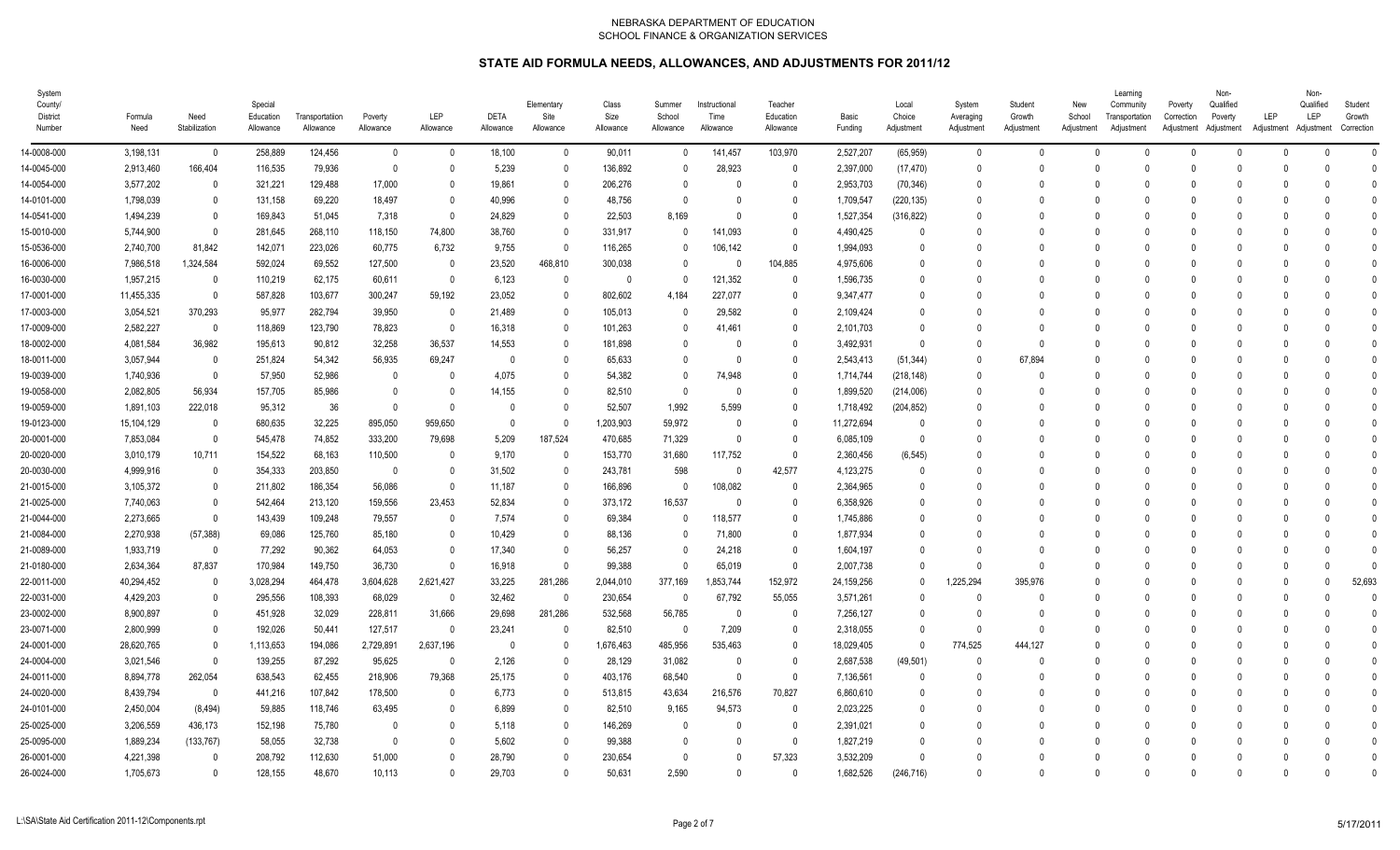| System<br>County/<br>District<br>Number | Formula<br>Need | Need<br>Stabilization    | Special<br>Education<br>Allowance | Transportatiion<br>Allowance | Poverty<br>Allowance | LEP<br>Allowance        | <b>DETA</b><br>Allowance | Elementary<br>Site<br>Allowance | Class<br>Size<br>Allowance | Summer<br>School<br>Allowance | Instructional<br>Time<br>Allowance | Teacher<br>Education<br>Allowance | Basic<br>Funding | Local<br>Choice<br>Adjustment | System<br>Averaging<br>Adjustment | Student<br>Growth<br>Adjustment | New<br>School<br>Adjustment | Learning<br>Community<br>Transportation<br>Adjustment | Poverty<br>Correction<br>Adjustment Adjustment | Non-<br>Qualified<br>Poverty | LEP<br>Adjustment Adjustment | Non-<br>Qualified<br>LEP | Student<br>Growth<br>Correction |
|-----------------------------------------|-----------------|--------------------------|-----------------------------------|------------------------------|----------------------|-------------------------|--------------------------|---------------------------------|----------------------------|-------------------------------|------------------------------------|-----------------------------------|------------------|-------------------------------|-----------------------------------|---------------------------------|-----------------------------|-------------------------------------------------------|------------------------------------------------|------------------------------|------------------------------|--------------------------|---------------------------------|
| 14-0008-000                             | 3,198,131       | $\overline{\mathbf{0}}$  | 258,889                           | 124,456                      | $\mathbf 0$          | $\overline{\mathbf{0}}$ | 18,100                   | $\mathbf{0}$                    | 90,011                     | $\mathbf{0}$                  | 141,457                            | 103,970                           | 2,527,207        | (65, 959)                     | $\overline{0}$                    | $\mathbf{0}$                    | $\Omega$                    | $\Omega$                                              | $\Omega$                                       | $\Omega$                     | $\Omega$                     |                          | $\Omega$                        |
| 14-0045-000                             | 2,913,460       | 166,404                  | 116,535                           | 79,936                       | $\overline{0}$       | $\Omega$                | 5,239                    | $\Omega$                        | 136,892                    | $\mathbf{0}$                  | 28,923                             | $\mathbf{0}$                      | 2,397,000        | (17, 470)                     | $\Omega$                          | $\Omega$                        | $\Omega$                    |                                                       |                                                | <sup>n</sup>                 | $\Omega$                     |                          | $\Omega$                        |
| 14-0054-000                             | 3,577,202       | $\overline{0}$           | 321,221                           | 129,488                      | 17,000               | $\Omega$                | 19,861                   | 0                               | 206,276                    | $\mathbf{0}$                  | 0                                  | $\mathbf{0}$                      | 2,953,703        | (70, 346)                     | $\Omega$                          | $\Omega$                        |                             |                                                       |                                                |                              |                              |                          | $\Omega$                        |
| 14-0101-000                             | 1,798,039       | 0                        | 131,158                           | 69,220                       | 18,497               | $\Omega$                | 40,996                   | 0                               | 48,756                     | $\Omega$                      | 0                                  | 0                                 | 1,709,547        | (220, 135)                    | $\Omega$                          | $\Omega$                        |                             |                                                       |                                                |                              |                              |                          | C                               |
| 14-0541-000                             | 1,494,239       | 0                        | 169,843                           | 51,045                       | 7,318                | $\overline{0}$          | 24,829                   | 0                               | 22,503                     | 8,169                         | 0                                  | $\mathbf{0}$                      | 1,527,354        | (316, 822)                    | $\Omega$                          | $\Omega$                        |                             |                                                       |                                                |                              |                              |                          | $\mathsf{C}$                    |
| 15-0010-000                             | 5,744,900       | $\overline{\mathbf{0}}$  | 281,645                           | 268,110                      | 118,150              | 74,800                  | 38,760                   | 0                               | 331,917                    | $\mathbf{0}$                  | 141,093                            | $\mathbf{0}$                      | 4,490,425        | $\mathbf{0}$                  | $\Omega$                          | $\Omega$                        |                             |                                                       |                                                |                              |                              |                          | $\theta$                        |
| 15-0536-000                             | 2,740,700       | 81,842                   | 142,071                           | 223,026                      | 60,775               | 6,732                   | 9,755                    | $\theta$                        | 116,265                    | $\mathbf{0}$                  | 106,142                            | $\mathbf{0}$                      | 1,994,093        | $\Omega$                      | $\Omega$                          | $\Omega$                        |                             |                                                       |                                                |                              |                              |                          | $\Omega$                        |
| 16-0006-000                             | 7,986,518       | 1,324,584                | 592,024                           | 69,552                       | 127,500              | $\overline{\mathbf{0}}$ | 23,520                   | 468,810                         | 300,038                    | $\mathbf{0}$                  | $\theta$                           | 104,885                           | 4,975,606        | $\theta$                      | $\Omega$                          | $\Omega$                        |                             |                                                       |                                                |                              |                              |                          | C                               |
| 16-0030-000                             | 1,957,215       | $\overline{\phantom{0}}$ | 110,219                           | 62,175                       | 60,611               | $\overline{\mathbf{0}}$ | 6,123                    | $\Omega$                        | 0                          | $\mathbf{0}$                  | 121,352                            | $\mathbf{0}$                      | 1,596,735        | $\Omega$                      | $\Omega$                          | $\Omega$                        |                             |                                                       |                                                |                              |                              |                          | $\Omega$                        |
| 17-0001-000                             | 11,455,335      | - 0                      | 587,828                           | 103,677                      | 300,247              | 59,192                  | 23,052                   | 0                               | 802,602                    | 4,184                         | 227,077                            | $\mathbf{0}$                      | 9,347,477        | $\Omega$                      |                                   | $\Omega$                        |                             |                                                       |                                                |                              |                              |                          | $\Omega$                        |
| 17-0003-000                             | 3,054,521       | 370,293                  | 95,977                            | 282,794                      | 39,950               | - 0                     | 21,489                   | 0                               | 105,013                    | $\Omega$                      | 29,582                             | 0                                 | 2,109,424        | 0                             |                                   | $\Omega$                        |                             |                                                       |                                                |                              |                              |                          | C                               |
| 17-0009-000                             | 2,582,227       | $\overline{\phantom{0}}$ | 118,869                           | 123,790                      | 78,823               | $\overline{\mathbf{0}}$ | 16,318                   | $\Omega$                        | 101,263                    | $\mathbf 0$                   | 41,461                             | $\mathbf 0$                       | 2,101,703        | $\Omega$                      | $\Omega$                          | $\Omega$                        |                             |                                                       |                                                |                              |                              |                          | $\Omega$                        |
| 18-0002-000                             | 4,081,584       | 36,982                   | 195,613                           | 90,812                       | 32,258               | 36,537                  | 14,553                   | 0                               | 181,898                    | $\mathbf{0}$                  | $\theta$                           | $\mathbf{0}$                      | 3,492,931        | $\Omega$                      | $\Omega$                          | $\Omega$                        |                             |                                                       |                                                |                              |                              |                          | $\theta$                        |
| 18-0011-000                             | 3,057,944       | $\overline{\phantom{0}}$ | 251,824                           | 54,342                       | 56,935               | 69,247                  | 0                        | 0                               | 65,633                     | $\mathbf 0$                   | $\mathbf{0}$                       | $\mathbf{0}$                      | 2,543,413        | (51, 344)                     | $\Omega$                          | 67,894                          |                             |                                                       |                                                |                              | $\Omega$                     |                          | $\Omega$                        |
| 19-0039-000                             | 1,740,936       | $\overline{\mathbf{0}}$  | 57,950                            | 52,986                       | $\overline{0}$       | - 0                     | 4,075                    | O                               | 54,382                     | 0                             | 74,948                             | 0                                 | 1,714,744        | (218, 148)                    | $\overline{0}$                    | -0                              |                             |                                                       |                                                |                              |                              |                          | C                               |
| 19-0058-000                             | 2,082,805       | 56,934                   | 157,705                           | 85,986                       | $\overline{0}$       | - 0                     | 14,155                   | $\Omega$                        | 82,510                     | $\mathbf{0}$                  | $\mathbf{0}$                       | $\mathbf{0}$                      | 1,899,520        | (214,006)                     | $\Omega$                          | $\Omega$                        |                             |                                                       |                                                |                              |                              |                          | $\theta$                        |
| 19-0059-000                             | 1,891,103       | 222,018                  | 95,312                            | 36                           | $\Omega$             | $\Omega$                | $\Omega$                 | 0                               | 52,507                     | 1,992                         | 5,599                              | $\Omega$                          | 1,718,492        | (204, 852)                    | $\Omega$                          | $\Omega$                        |                             |                                                       |                                                |                              |                              |                          | $\Omega$                        |
| 19-0123-000                             | 15,104,129      | $\overline{\phantom{0}}$ | 680,635                           | 32.225                       | 895.050              | 959,650                 | $\mathbf{0}$             | $\Omega$                        | 1,203,903                  | 59,972                        | 0                                  | $\mathbf{0}$                      | 11,272,694       | 0                             | $\Omega$                          | $\Omega$                        |                             |                                                       |                                                |                              |                              |                          | $\Omega$                        |
| 20-0001-000                             | 7,853,084       | $\overline{\mathbf{0}}$  | 545,478                           | 74,852                       | 333,200              | 79,698                  | 5,209                    | 187,524                         | 470,685                    | 71,329                        | $\Omega$                           | $\mathbf{0}$                      | 6,085,109        | $\mathbf{0}$                  | $\Omega$                          | $\Omega$                        |                             |                                                       |                                                |                              |                              |                          | $\Omega$                        |
| 20-0020-000                             | 3,010,179       | 10,711                   | 154,522                           | 68,163                       | 110,500              | - 0                     | 9,170                    | $\Omega$                        | 153,770                    | 31,680                        | 117,752                            | $\mathbf{0}$                      | 2,360,456        | (6, 545)                      | - 0                               | $\Omega$                        |                             |                                                       |                                                |                              |                              |                          | $\theta$                        |
| 20-0030-000                             | 4,999,916       | $\overline{\mathbf{0}}$  | 354,333                           | 203,850                      | $\mathbf 0$          | - 0                     | 31,502                   | $\Omega$                        | 243,781                    | 598                           | $\mathbf{0}$                       | 42,577                            | 4,123,275        | $\mathbf{0}$                  | $\cap$                            | $\Omega$                        |                             |                                                       |                                                |                              | $\Omega$                     |                          | $\theta$                        |
| 21-0015-000                             | 3,105,372       | 0                        | 211,802                           | 186,354                      | 56,086               | $\overline{0}$          | 11,187                   | $\Omega$                        | 166,896                    | $\mathbf{0}$                  | 108,082                            | $\mathbf{0}$                      | 2,364,965        | 0                             | - 0                               | $\Omega$                        |                             |                                                       |                                                |                              |                              |                          | C                               |
| 21-0025-000                             | 7,740,063       | - 0                      | 542,464                           | 213,120                      | 159,556              | 23,453                  | 52,834                   | $\Omega$                        | 373,172                    | 16,537                        | $\mathbf{0}$                       | 0                                 | 6,358,926        | $\Omega$                      | $\Omega$                          | $\Omega$                        |                             |                                                       |                                                |                              |                              |                          | $\theta$                        |
| 21-0044-000                             | 2,273,665       | - 0                      | 143,439                           | 109,248                      | 79,557               | 0                       | 7,574                    | 0                               | 69,384                     | $\mathbf{0}$                  | 118,577                            | $\mathbf{0}$                      | 1,745,886        | $\Omega$                      | $\Omega$                          | $\Omega$                        |                             |                                                       |                                                |                              |                              |                          | $\Omega$                        |
| 21-0084-000                             | 2,270,938       | (57, 388)                | 69,086                            | 125,760                      | 85,180               | - 0                     | 10,429                   | 0                               | 88,136                     | $\mathbf{0}$                  | 71,800                             | $\mathbf{0}$                      | 1,877,934        | $\Omega$                      | - 0                               | $\Omega$                        |                             |                                                       |                                                |                              |                              |                          | C                               |
| 21-0089-000                             | 1,933,719       | $\overline{\mathbf{0}}$  | 77,292                            | 90,362                       | 64,053               | $\overline{0}$          | 17,340                   | $\Omega$                        | 56,257                     | $\mathbf{0}$                  | 24,218                             | $\mathbf{0}$                      | 1,604,197        | $\Omega$                      | $\Omega$                          | $\Omega$                        |                             |                                                       |                                                |                              |                              |                          | $\mathsf{C}$                    |
| 21-0180-000                             | 2,634,364       | 87,837                   | 170,984                           | 149,750                      | 36,730               | $\Omega$                | 16,918                   | $\Omega$                        | 99,388                     | $\Omega$                      | 65,019                             | $\mathbf{0}$                      | 2,007,738        | $\Omega$                      | $\Omega$                          | $\Omega$                        |                             |                                                       |                                                |                              |                              |                          | $\Omega$                        |
| 22-0011-000                             | 40,294,452      | $\overline{\phantom{0}}$ | 3,028,294                         | 464,478                      | 3,604,628            | 2,621,427               | 33,225                   | 281,286                         | 2,044,010                  | 377,169                       | 1,853,744                          | 152,972                           | 24,159,256       | $\mathbf 0$                   | 1,225,294                         | 395,976                         |                             |                                                       |                                                |                              | $\mathbf{0}$                 |                          | 52,693                          |
| 22-0031-000                             | 4,429,203       | 0                        | 295,556                           | 108,393                      | 68,029               | 0                       | 32,462                   | $\theta$                        | 230,654                    | $\mathbf{0}$                  | 67,792                             | 55,055                            | 3,571,261        | $\mathbf{0}$                  | $\overline{0}$                    | -0                              |                             |                                                       |                                                |                              |                              |                          | $\theta$                        |
| 23-0002-000                             | 8,900,897       | 0                        | 451,928                           | 32,029                       | 228,811              | 31,666                  | 29,698                   | 281,286                         | 532,568                    | 56,785                        | $\mathbf{0}$                       | $\mathbf{0}$                      | 7,256,127        | $\Omega$                      | $\Omega$                          | 0                               |                             |                                                       |                                                |                              |                              |                          | $\mathbf{0}$                    |
| 23-0071-000                             | 2,800,999       | - 0                      | 192,026                           | 50,441                       | 127,517              | - 0                     | 23,241                   |                                 | 82,510                     | 0                             | 7,209                              | $\mathbf{0}$                      | 2,318,055        | $\Omega$                      | $\Omega$                          | $\Omega$                        |                             |                                                       |                                                |                              |                              |                          | 0                               |
| 24-0001-000                             | 28,620,765      | - 0                      | 1,113,653                         | 194,086                      | 2,729,891            | 2,637,196               | $\Omega$                 | 0                               | 1,676,463                  | 485,956                       | 535,463                            | 0                                 | 18,029,405       | $\Omega$                      | 774,525                           | 444.127                         |                             |                                                       |                                                |                              |                              |                          | $\Omega$                        |
| 24-0004-000                             | 3,021,546       | $\overline{\phantom{0}}$ | 139,255                           | 87,292                       | 95,625               | - 0                     | 2,126                    | $\Omega$                        | 28,129                     | 31,082                        | $\theta$                           | $\mathbf{0}$                      | 2,687,538        | (49, 501)                     | $\Omega$                          | $\Omega$                        | $\cap$                      |                                                       |                                                |                              |                              |                          | $\Omega$                        |
| 24-0011-000                             | 8,894,778       | 262,054                  | 638,543                           | 62,455                       | 218,906              | 79,368                  | 25,175                   | 0                               | 403,176                    | 68,540                        | $\Omega$                           | $\mathbf{0}$                      | 7,136,561        | $\Omega$                      | $\Omega$                          | $\Omega$                        |                             |                                                       |                                                |                              |                              |                          | $\Omega$                        |
| 24-0020-000                             | 8,439,794       | $\overline{\mathbf{0}}$  | 441,216                           | 107,842                      | 178,500              | - 0                     | 6,773                    | $\Omega$                        | 513,815                    | 43,634                        | 216,576                            | 70,827                            | 6,860,610        | $\Omega$                      | $\Omega$                          | $\Omega$                        |                             |                                                       |                                                |                              |                              |                          | $\Omega$                        |
| 24-0101-000                             | 2,450,004       | (8, 494)                 | 59,885                            | 118,746                      | 63,495               | - 0                     | 6,899                    | $\Omega$                        | 82,510                     | 9,165                         | 94,573                             | $\mathbf 0$                       | 2,023,225        | $\theta$                      | $\Omega$                          | $\Omega$                        |                             |                                                       |                                                |                              |                              |                          | $\Omega$                        |
| 25-0025-000                             | 3,206,559       | 436,173                  | 152,198                           | 75,780                       | $\mathbf{0}$         | 0                       | 5,118                    | $\Omega$                        | 146,269                    | 0                             | $\Omega$                           | $\mathbf{0}$                      | 2,391,021        | 0                             | $\Omega$                          | $\Omega$                        |                             |                                                       |                                                |                              |                              |                          | $\theta$                        |
| 25-0095-000                             | 1,889,234       | (133, 767)               | 58,055                            | 32,738                       | $\Omega$             | 0                       | 5,602                    | 0                               | 99,388                     | $\mathbf{0}$                  | 0                                  | $\mathbf{0}$                      | 1,827,219        | 0                             |                                   | $\Omega$                        |                             |                                                       |                                                |                              |                              |                          | 0                               |
| 26-0001-000                             | 4,221,398       | - 0                      | 208,792                           | 112,630                      | 51,000               | $\Omega$                | 28,790                   | 0                               | 230,654                    | $\mathbf{0}$                  | 0                                  | 57,323                            | 3,532,209        | $\Omega$                      | - 0                               | $\Omega$                        |                             |                                                       |                                                |                              |                              |                          | $\Omega$                        |
| 26-0024-000                             | 1,705,673       | $\overline{0}$           | 128,155                           | 48,670                       | 10.113               | $\Omega$                | 29.703                   | $\Omega$                        | 50.631                     | 2.590                         | $\Omega$                           | $\mathbf{0}$                      | 1,682,526        | (246, 716)                    | $\Omega$                          | $\mathsf{O}$                    | $\cap$                      |                                                       |                                                | $\Omega$                     | U                            |                          | $\Omega$                        |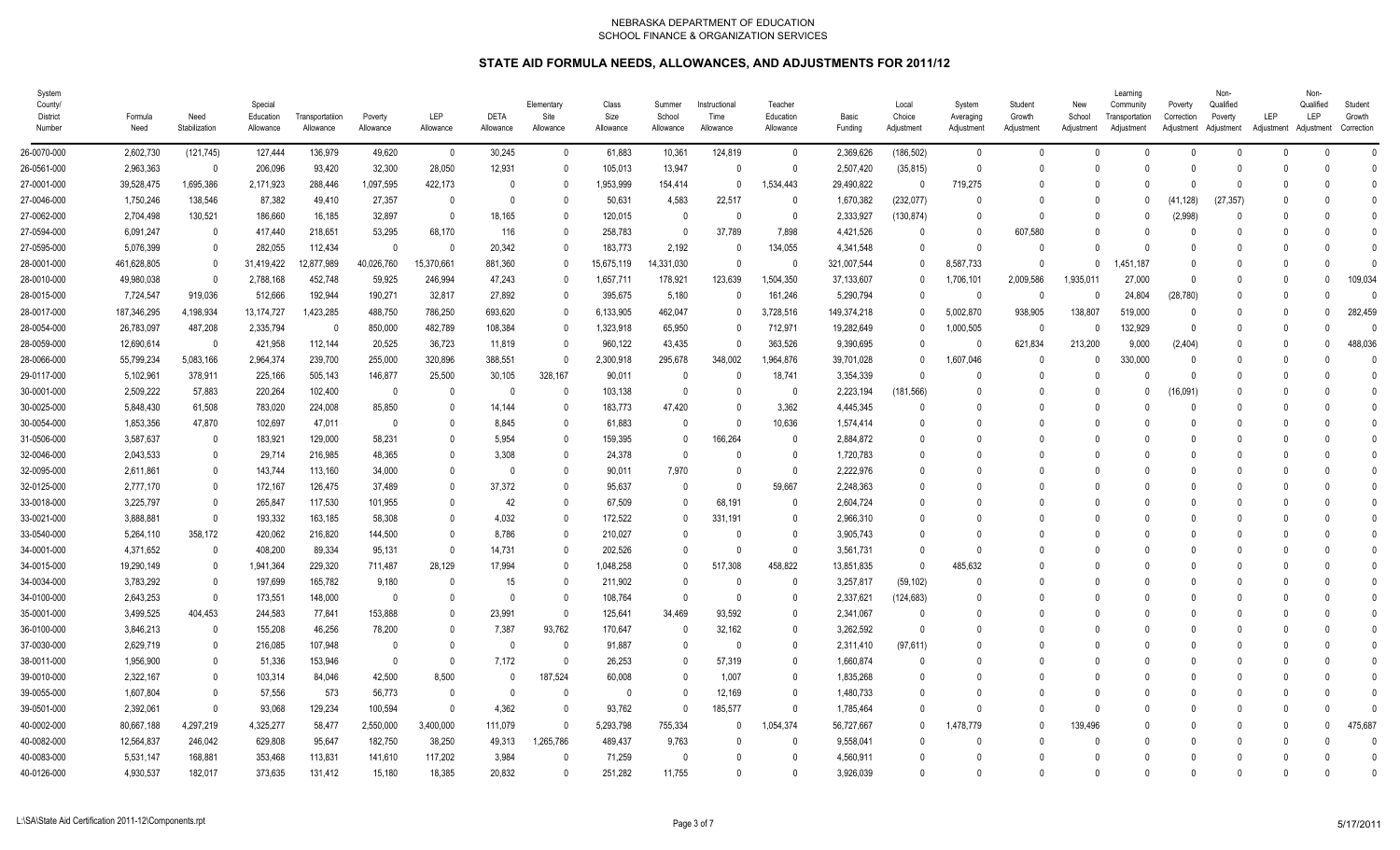| System<br>County/<br>District<br>Number | Formula<br>Need | Need<br>Stabilization | Special<br>Education<br>Allowance | Transportatiion<br>Allowance | Poverty<br>Allowance | <b>LEP</b><br>Allowance | <b>DETA</b><br>Allowance | Elementary<br>Site<br>Allowance | Class<br>Size<br>Allowance | Summer<br>School<br>Allowance | Instructional<br>Time<br>Allowance | Teacher<br>Education<br>Allowance | Basic<br>Funding | Local<br>Choice<br>Adjustment | System<br>Averaging<br>Adjustment | Student<br>Growth<br>Adjustment | New<br>School<br>Adjustment | Learning<br>Community<br>Transportation<br>Adjustment | Poverty<br>Correction<br>Adjustment Adjustment | Non-<br>Qualified<br>Poverty | LEP<br>Adjustment Adjustment | Non-<br>Qualified<br>LEP | Student<br>Growth<br>Correction |
|-----------------------------------------|-----------------|-----------------------|-----------------------------------|------------------------------|----------------------|-------------------------|--------------------------|---------------------------------|----------------------------|-------------------------------|------------------------------------|-----------------------------------|------------------|-------------------------------|-----------------------------------|---------------------------------|-----------------------------|-------------------------------------------------------|------------------------------------------------|------------------------------|------------------------------|--------------------------|---------------------------------|
| 26-0070-000                             | 2,602,730       | (121, 745)            | 127,444                           | 136,979                      | 49,620               | $\overline{\mathbf{0}}$ | 30,245                   | $\mathbf 0$                     | 61,883                     | 10,361                        | 124,819                            | $\mathbf 0$                       | 2,369,626        | (186, 502)                    | $\overline{0}$                    | $\mathbf{0}$                    | $\Omega$                    |                                                       | $\Omega$                                       | $\Omega$                     | $\Omega$                     |                          | $\mathbf{0}$                    |
| 26-0561-000                             | 2,963,363       | $\mathbf{0}$          | 206,096                           | 93,420                       | 32,300               | 28,050                  | 12,931                   | $\Omega$                        | 105,013                    | 13,947                        | $\mathbf{0}$                       | $\mathbf 0$                       | 2,507,420        | (35, 815)                     | $\Omega$                          | $\Omega$                        | $\Omega$                    |                                                       |                                                | 0                            |                              |                          | $\Omega$                        |
| 27-0001-000                             | 39,528,475      | 1,695,386             | 2,171,923                         | 288,446                      | 1,097,595            | 422,173                 | 0                        | O                               | 1,953,999                  | 154,414                       | $\mathbf{0}$                       | 1,534,443                         | 29,490,822       | 0                             | 719,275                           | $\Omega$                        |                             |                                                       |                                                | $\mathsf{O}$                 |                              |                          | $\Omega$                        |
| 27-0046-000                             | 1,750,246       | 138,546               | 87,382                            | 49,410                       | 27,357               | - 0                     | $\mathbf{0}$             | $\Omega$                        | 50,631                     | 4,583                         | 22,517                             | 0                                 | 1,670,382        | (232, 077)                    | - 0                               | $\Omega$                        |                             |                                                       | (41, 128)                                      | (27, 357)                    |                              |                          | $\Omega$                        |
| 27-0062-000                             | 2,704,498       | 130,521               | 186,660                           | 16,185                       | 32,897               | $\overline{0}$          | 18,165                   | $\Omega$                        | 120,015                    | $\mathbf{0}$                  | $\Omega$                           | $\mathbf{0}$                      | 2,333,927        | (130, 874)                    | $\Omega$                          | $\mathsf{O}$                    | $\cap$                      |                                                       | (2,998)                                        |                              |                              |                          | $\Omega$                        |
| 27-0594-000                             | 6,091,247       | $\Omega$              | 417,440                           | 218,651                      | 53,295               | 68,170                  | 116                      | $\Omega$                        | 258,783                    | $\mathbf{0}$                  | 37,789                             | 7,898                             | 4,421,526        | $\Omega$                      | $\Omega$                          | 607,580                         | $\cap$                      |                                                       |                                                |                              |                              |                          | $\Omega$                        |
| 27-0595-000                             | 5,076,399       | $\overline{0}$        | 282,055                           | 112,434                      | $\mathbf{0}$         | - 0                     | 20,342                   | $\Omega$                        | 183,773                    | 2,192                         | 0                                  | 134,055                           | 4,341,548        | $\mathbf{0}$                  | $\mathbf{0}$                      | $\Omega$                        | $\cap$                      |                                                       |                                                |                              |                              |                          | $\Omega$                        |
| 28-0001-000                             | 461,628,805     | 0                     | 31,419,422                        | 12,877,989                   | 40,026,760           | 15,370,661              | 881,360                  | $\Omega$                        | 15,675,119                 | 14,331,030                    | $\theta$                           | 0                                 | 321,007,544      | $\theta$                      | 8,587,733                         | $\Omega$                        | $\Omega$                    | ,451,187                                              | - 0                                            |                              |                              |                          | $\mathsf{C}$                    |
| 28-0010-000                             | 49,980,038      | -0                    | 2,788,168                         | 452,748                      | 59,925               | 246,994                 | 47,243                   | $\Omega$                        | 1,657,711                  | 178,921                       | 123,639                            | 1,504,350                         | 37,133,607       | 0                             | 1,706,101                         | 2,009,586                       | 1,935,011                   | 27,000                                                | - 0                                            |                              | $\Omega$                     |                          | 109,034                         |
| 28-0015-000                             | 7,724,547       | 919,036               | 512,666                           | 192,944                      | 190,271              | 32,817                  | 27,892                   | O                               | 395,675                    | 5,180                         | 0                                  | 161,246                           | 5,290,794        | $\Omega$                      | $\Omega$                          | $\Omega$                        |                             | 24,804                                                | (28, 780)                                      |                              |                              |                          | C                               |
| 28-0017-000                             | 187,346,295     | 4,198,934             | 13, 174, 727                      | 1,423,285                    | 488,750              | 786,250                 | 693,620                  | O                               | 6,133,905                  | 462.047                       | $\mathbf{0}$                       | 3,728,516                         | 149,374,218      | 0                             | 5,002,870                         | 938.905                         | 138,807                     | 519,000                                               | $\Omega$                                       |                              | $\Omega$                     |                          | 282,459                         |
| 28-0054-000                             | 26,783,097      | 487,208               | 2,335,794                         | 0                            | 850,000              | 482,789                 | 108,384                  | $\Omega$                        | 1,323,918                  | 65,950                        | $\mathbf{0}$                       | 712,971                           | 19,282,649       | $\theta$                      | 1,000,505                         | - 0                             | $\Omega$                    | 132,929                                               | $\Omega$                                       |                              | $\Omega$                     |                          | $\mathsf{C}$                    |
| 28-0059-000                             | 12,690,614      | $\overline{0}$        | 421.958                           | 112,144                      | 20,525               | 36,723                  | 11,819                   | $\Omega$                        | 960.122                    | 43,435                        | $\Omega$                           | 363.526                           | 9.390.695        | $\Omega$                      | - 0                               | 621,834                         | 213,200                     | 9,000                                                 | (2, 404)                                       |                              | $\Omega$                     |                          | 488,036                         |
| 28-0066-000                             | 55,799,234      | 5,083,166             | 2,964,374                         | 239,700                      | 255,000              | 320,896                 | 388,551                  | $\Omega$                        | 2,300,918                  | 295,678                       | 348,002                            | 1,964,876                         | 39,701,028       | $\theta$                      | 1,607,046                         | $\Omega$                        | $\Omega$                    | 330,000                                               | $\Omega$                                       |                              | $\Omega$                     |                          | $\sqrt{ }$                      |
| 29-0117-000                             | 5,102,961       | 378,911               | 225,166                           | 505,143                      | 146,877              | 25,500                  | 30,105                   | 328,167                         | 90,011                     | 0                             | $\Omega$                           | 18,741                            | 3,354,339        | $\Omega$                      | $\Omega$                          | $\Omega$                        |                             |                                                       |                                                |                              |                              |                          | $\mathsf{C}$                    |
| 30-0001-000                             | 2,509,222       | 57,883                | 220,264                           | 102,400                      | $\overline{0}$       | - 0                     | 0                        | $\Omega$                        | 103,138                    | 0                             | $\Omega$                           | 0                                 | 2,223,194        | (181, 566)                    |                                   | $\Omega$                        |                             |                                                       | 16,091)                                        |                              |                              |                          | $\Omega$                        |
| 30-0025-000                             | 5,848,430       | 61,508                | 783,020                           | 224,008                      | 85,850               | 0                       | 14,144                   |                                 | 183,773                    | 47,420                        | 0                                  | 3,362                             | 4,445,345        | $\theta$                      |                                   | $\Omega$                        |                             |                                                       |                                                |                              |                              |                          | C                               |
| 30-0054-000                             | 1,853,356       | 47,870                | 102,697                           | 47,011                       | $\mathbf{0}$         | -0                      | 8,845                    | $\Omega$                        | 61,883                     | 0                             | $\mathbf{0}$                       | 10,636                            | 1,574,414        | $\theta$                      |                                   | 0                               |                             |                                                       |                                                |                              |                              |                          | -0                              |
| 31-0506-000                             | 3,587,637       | -0                    | 183,921                           | 129,000                      | 58,231               | -0                      | 5,954                    | $\mathbf{0}$                    | 159,395                    | $\mathbf{0}$                  | 166,264                            | 0                                 | 2,884,872        | 0                             |                                   | $\Omega$                        |                             |                                                       |                                                |                              |                              |                          | $\Omega$                        |
| 32-0046-000                             | 2,043,533       | 0                     | 29,714                            | 216,985                      | 48,365               | -0                      | 3,308                    | $\mathbf{0}$                    | 24,378                     | $\mathbf{0}$                  | $\Omega$                           | $\mathbf{0}$                      | 1,720,783        | 0                             |                                   | -0                              |                             |                                                       |                                                |                              |                              |                          | $\Omega$                        |
| 32-0095-000                             | 2,611,861       | 0                     | 143,744                           | 113,160                      | 34,000               | - 0                     | $\Omega$                 | $\Omega$                        | 90,011                     | 7,970                         | $\mathbf{0}$                       | $\mathbf 0$                       | 2,222,976        | $\Omega$                      | $\Omega$                          | $\Omega$                        |                             |                                                       |                                                |                              |                              |                          | $\Omega$                        |
| 32-0125-000                             | 2,777,170       | 0                     | 172,167                           | 126,475                      | 37,489               | 0                       | 37,372                   | $\Omega$                        | 95,637                     | $\mathbf{0}$                  | 0                                  | 59,667                            | 2,248,363        | $\Omega$                      |                                   | $\Omega$                        |                             |                                                       |                                                |                              |                              |                          | ſ                               |
| 33-0018-000                             | 3,225,797       | $\overline{0}$        | 265,847                           | 117,530                      | 101,955              | $\Omega$                | 42                       | $\Omega$                        | 67,509                     | $\mathbf{0}$                  | 68,191                             | 0                                 | 2,604,724        | $\Omega$                      |                                   | $\Omega$                        |                             |                                                       |                                                |                              |                              |                          | $\Omega$                        |
| 33-0021-000                             | 3,888,881       | $\Omega$              | 193,332                           | 163,185                      | 58,308               | $\Omega$                | 4,032                    | O                               | 172,522                    | $\Omega$                      | 331,191                            | $\Omega$                          | 2,966,310        | $\Omega$                      |                                   | $\Omega$                        |                             |                                                       |                                                |                              |                              |                          | $\Omega$                        |
| 33-0540-000                             | 5,264,110       | 358,172               | 420,062                           | 216,820                      | 144,500              | - 0                     | 8,786                    | $\Omega$                        | 210,027                    | $\Omega$                      | $\Omega$                           | $\mathbf 0$                       | 3,905,743        | $\Omega$                      | $\Omega$                          | $\Omega$                        |                             |                                                       |                                                |                              |                              |                          | ſ                               |
| 34-0001-000                             | 4,371,652       | $\Omega$              | 408,200                           | 89,334                       | 95,131               | $\overline{0}$          | 14,731                   | $\Omega$                        | 202,526                    | $\mathbf{0}$                  | $\mathbf{0}$                       | $\mathbf{0}$                      | 3,561,731        | $\mathbf{0}$                  | $\Omega$                          | $\Omega$                        |                             |                                                       |                                                |                              |                              |                          | $\theta$                        |
| 34-0015-000                             | 19,290,149      | $\Omega$              | 1,941,364                         | 229,320                      | 711,487              | 28,129                  | 17,994                   | 0                               | 1,048,258                  | $\mathbf{0}$                  | 517,308                            | 458,822                           | 13,851,835       | $\Omega$                      | 485,632                           | -0                              |                             |                                                       |                                                |                              |                              |                          | $\Omega$                        |
| 34-0034-000                             | 3,783,292       | -0                    | 197,699                           | 165,782                      | 9,180                | - 0                     | 15                       | $\mathbf{0}$                    | 211,902                    | $\mathbf{0}$                  | 0                                  | $\mathbf 0$                       | 3,257,817        | (59, 102)                     | $\Omega$                          | $\Omega$                        |                             |                                                       |                                                |                              |                              |                          | $\Omega$                        |
| 34-0100-000                             | 2,643,253       | $\Omega$              | 173,551                           | 148,000                      | $\mathbf{0}$         | $\Omega$                | $\Omega$                 | $\Omega$                        | 108,764                    | $\Omega$                      | 0                                  | 0                                 | 2,337,621        | (124, 683)                    | - 0                               | $\Omega$                        |                             |                                                       |                                                |                              |                              |                          | ſ                               |
| 35-0001-000                             | 3,499,525       | 404,453               | 244,583                           | 77,841                       | 153,888              | $\Omega$                | 23,991                   | $\Omega$                        | 125,641                    | 34,469                        | 93,592                             | 0                                 | 2,341,067        | $\Omega$                      | $\Omega$                          | $\Omega$                        |                             |                                                       |                                                |                              |                              |                          | $\Omega$                        |
| 36-0100-000                             | 3,846,213       | $\Omega$              | 155,208                           | 46,256                       | 78,200               | $\Omega$                | 7,387                    | 93,762                          | 170,647                    | $\mathbf{0}$                  | 32,162                             | $\mathbf{0}$                      | 3,262,592        | $\Omega$                      |                                   | $\Omega$                        |                             |                                                       |                                                |                              |                              |                          | $\Omega$                        |
| 37-0030-000                             | 2.629.719       | 0                     | 216,085                           | 107,948                      | $\Omega$             | - 0                     | $\Omega$                 | $\Omega$                        | 91,887                     | $\mathbf{0}$                  | $\Omega$                           | $\mathbf{0}$                      | 2,311,410        | (97, 611)                     |                                   | $\Omega$                        |                             |                                                       |                                                |                              |                              |                          | ſ                               |
| 38-0011-000                             | 1,956,900       | $\mathbf{0}$          | 51,336                            | 153,946                      | $\mathbf{0}$         | $\overline{0}$          | 7,172                    | 0                               | 26,253                     | $\mathbf{0}$                  | 57.319                             | $\mathbf 0$                       | 1,660,874        | $\Omega$                      | $\cap$                            | $\mathsf{O}$                    | $\cap$                      |                                                       |                                                |                              |                              |                          | $\Omega$                        |
| 39-0010-000                             | 2,322,167       | $\Omega$              | 103,314                           | 84,046                       | 42,500               | 8,500                   | - 0                      | 187,524                         | 60,008                     | $\mathbf 0$                   | 1,007                              | $\mathbf 0$                       | 1,835,268        | $\Omega$                      |                                   | $\Omega$                        |                             |                                                       |                                                |                              |                              |                          | $\Omega$                        |
| 39-0055-000                             | 1,607,804       | $\mathbf{0}$          | 57,556                            | 573                          | 56,773               | - 0                     | $\mathbf{0}$             | 0                               | $\theta$                   | $\mathbf 0$                   | 12,169                             | $\mathbf 0$                       | 1,480,733        | $\mathbf{0}$                  | $\Omega$                          | $\Omega$                        | $\Omega$                    |                                                       |                                                |                              |                              |                          | $\mathsf{C}$                    |
| 39-0501-000                             | 2,392,061       | $\Omega$              | 93,068                            | 129,234                      | 100,594              | $\overline{0}$          | 4,362                    | $\Omega$                        | 93,762                     | $\mathbf{0}$                  | 185,577                            | $\mathbf{0}$                      | 1,785,464        | $\Omega$                      | $\Omega$                          | $\Omega$                        | $\Omega$                    |                                                       |                                                |                              |                              |                          | $\mathsf{C}$                    |
| 40-0002-000                             | 80,667,188      | 4,297,219             | 4,325,277                         | 58,477                       | 2,550,000            | 3,400,000               | 111,079                  | $\Omega$                        | 5,293,798                  | 755,334                       | $\mathbf{0}$                       | 1,054,374                         | 56,727,667       | 0                             | 1,478,779                         | $\Omega$                        | 139,496                     |                                                       |                                                |                              | $\Omega$                     |                          | 475,687                         |
| 40-0082-000                             | 12,564,837      | 246,042               | 629,808                           | 95,647                       | 182,750              | 38,250                  | 49,313                   | 1,265,786                       | 489,437                    | 9,763                         | 0                                  | $\Omega$                          | 9,558,041        | $\Omega$                      |                                   | $\Omega$                        |                             |                                                       |                                                |                              |                              |                          | 0                               |
| 40-0083-000                             | 5,531,147       | 168,881               | 353,468                           | 113,831                      | 141,610              | 117,202                 | 3,984                    | 0                               | 71,259                     | $\mathbf{0}$                  | 0                                  | $\Omega$                          | 4,560,911        | 0                             |                                   | $\Omega$                        |                             |                                                       |                                                |                              |                              |                          | ſ                               |
| 40-0126-000                             | 4,930,537       | 182.017               | 373,635                           | 131,412                      | 15.180               | 18.385                  | 20.832                   | $\Omega$                        | 251.282                    | 11.755                        | $\Omega$                           | $\mathbf{0}$                      | 3.926.039        | $\Omega$                      | $\Omega$                          | $\mathsf{O}$                    | $\cap$                      |                                                       |                                                | <sup>0</sup>                 | U                            | $\Omega$                 | $\Omega$                        |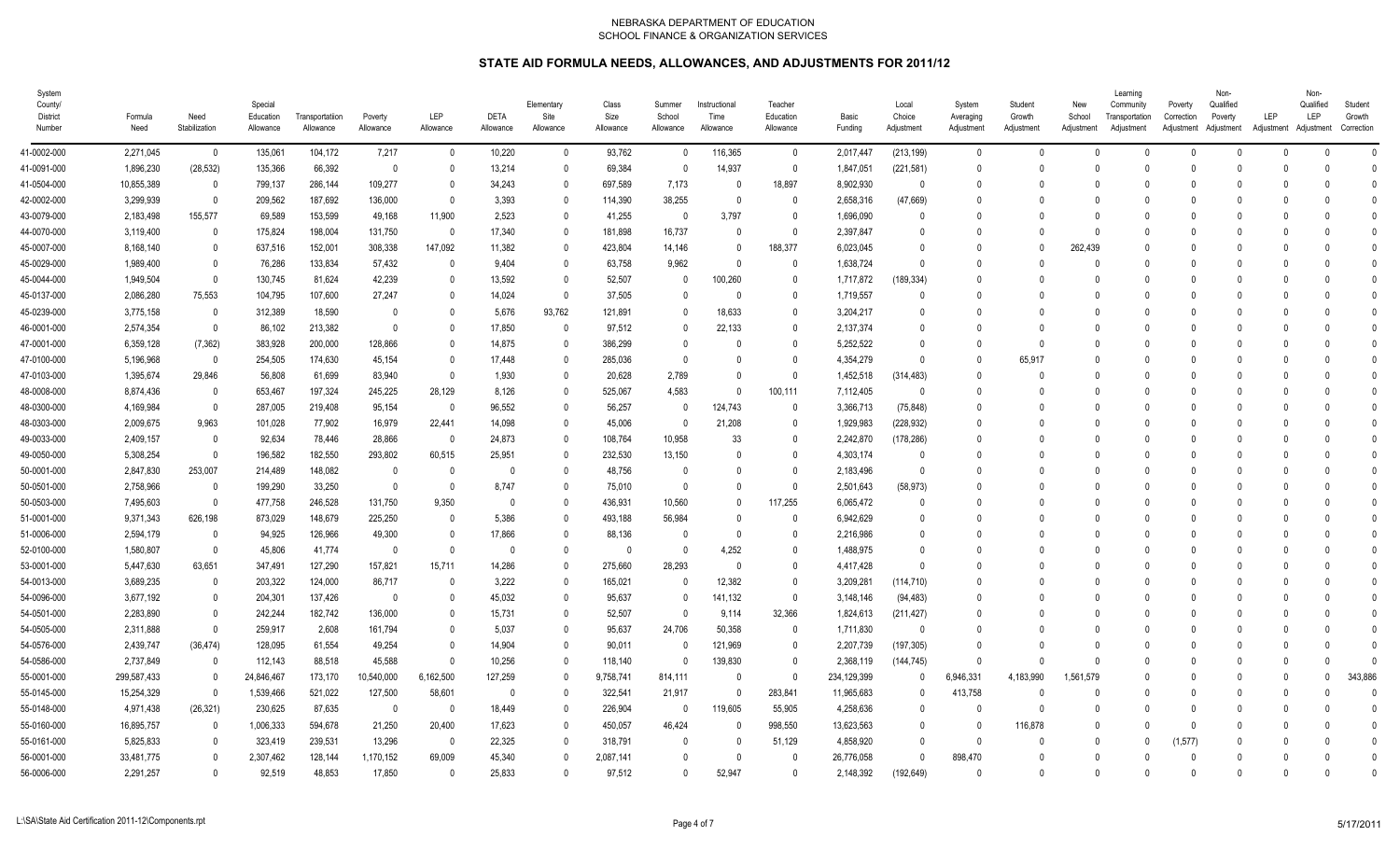| System<br>County/<br>District<br>Number | Formula<br>Need | Need<br>Stabilization    | Special<br>Education<br>Allowance | Transportatiion<br>Allowance | Poverty<br>Allowance | LEP<br>Allowance        | <b>DETA</b><br>Allowance | Elementary<br>Site<br>Allowance | Class<br>Size<br>Allowance | Summer<br>School<br>Allowance | Instructional<br>Time<br>Allowance | Teacher<br>Education<br>Allowance | Basic<br>Funding | Local<br>Choice<br>Adjustment | System<br>Averaging<br>Adjustment | Student<br>Growth<br>Adjustment | New<br>School<br>Adjustment | Learning<br>Community<br>Transportation<br>Adjustment | Poverty<br>Correction<br>Adjustment Adjustment | Non-<br>Qualified<br>Poverty | LEP<br>Adjustment Adjustment | Non-<br>Qualified<br>LEP | Student<br>Growth<br>Correction |  |
|-----------------------------------------|-----------------|--------------------------|-----------------------------------|------------------------------|----------------------|-------------------------|--------------------------|---------------------------------|----------------------------|-------------------------------|------------------------------------|-----------------------------------|------------------|-------------------------------|-----------------------------------|---------------------------------|-----------------------------|-------------------------------------------------------|------------------------------------------------|------------------------------|------------------------------|--------------------------|---------------------------------|--|
| 41-0002-000                             | 2,271,045       | $\overline{\mathbf{0}}$  | 135,061                           | 104,172                      | 7,217                | $\overline{\mathbf{0}}$ | 10,220                   | 0                               | 93,762                     | $\mathbf 0$                   | 116,365                            | $\mathbf 0$                       | 2,017,447        | (213, 199)                    | $\overline{0}$                    | $\mathbf{0}$                    | $\Omega$                    |                                                       | $\Omega$                                       | $\Omega$                     | $\Omega$                     |                          | $\mathbf{0}$                    |  |
| 41-0091-000                             | 1,896,230       | (28, 532)                | 135,366                           | 66,392                       | $\overline{0}$       | $\Omega$                | 13,214                   | $\Omega$                        | 69,384                     | $\mathbf{0}$                  | 14,937                             | $\mathbf{0}$                      | 1,847,051        | (221, 581)                    | $\Omega$                          | $\Omega$                        |                             |                                                       |                                                |                              |                              |                          | $\Omega$                        |  |
| 41-0504-000                             | 10,855,389      | $\overline{\phantom{0}}$ | 799,137                           | 286,144                      | 109,277              | - 0                     | 34,243                   | 0                               | 697,589                    | 7,173                         | 0                                  | 18,897                            | 8,902,930        | 0                             | $\Omega$                          | $\Omega$                        |                             |                                                       |                                                |                              |                              |                          | $\Omega$                        |  |
| 42-0002-000                             | 3,299,939       | $\overline{\phantom{0}}$ | 209,562                           | 187,692                      | 136,000              | - 0                     | 3,393                    | $\Omega$                        | 114,390                    | 38,255                        | 0                                  | 0                                 | 2,658,316        | (47,669)                      | - 0                               | $\Omega$                        |                             |                                                       |                                                |                              |                              |                          | $\Omega$                        |  |
| 43-0079-000                             | 2,183,498       | 155,577                  | 69,589                            | 153,599                      | 49,168               | 11,900                  | 2,523                    | $\Omega$                        | 41,255                     | $\Omega$                      | 3,797                              | $\mathbf{0}$                      | 1,696,090        | $\Omega$                      | $\Omega$                          | $\Omega$                        |                             |                                                       |                                                |                              |                              |                          | $\Omega$                        |  |
| 44-0070-000                             | 3,119,400       | 0                        | 175,824                           | 198,004                      | 131,750              | $\overline{\mathbf{0}}$ | 17,340                   | $\Omega$                        | 181,898                    | 16,737                        | $\Omega$                           | $\mathbf{0}$                      | 2,397,847        | $\Omega$                      | $\cap$                            | $\Omega$                        | $\Omega$                    |                                                       |                                                |                              |                              |                          | $\Omega$                        |  |
| 45-0007-000                             | 8,168,140       | 0                        | 637,516                           | 152,001                      | 308,338              | 147,092                 | 11,382                   | $\Omega$                        | 423,804                    | 14,146                        | $\mathbf{0}$                       | 188,377                           | 6,023,045        | $\Omega$                      | $\Omega$                          | $\mathbf{0}$                    | 262,439                     |                                                       |                                                |                              | <sup>n</sup>                 |                          | $\Omega$                        |  |
| 45-0029-000                             | 1,989,400       | 0                        | 76,286                            | 133,834                      | 57,432               | 0                       | 9,404                    | 0                               | 63,758                     | 9,962                         | $\theta$                           | $\mathbf 0$                       | 1,638,724        | $\Omega$                      | $\Omega$                          | $\Omega$                        |                             |                                                       |                                                |                              |                              |                          | $\mathsf{C}$                    |  |
| 45-0044-000                             | 1,949,504       | $\overline{\phantom{0}}$ | 130,745                           | 81,624                       | 42,239               | - 0                     | 13,592                   | $\Omega$                        | 52,507                     | 0                             | 100,260                            | $\mathbf{0}$                      | 1,717,872        | (189, 334)                    | - 0                               | $\Omega$                        |                             |                                                       |                                                |                              |                              |                          | 0                               |  |
| 45-0137-000                             | 2,086,280       | 75,553                   | 104,795                           | 107,600                      | 27,247               | - 0                     | 14,024                   | $\theta$                        | 37,505                     | $\mathbf{0}$                  | 0                                  | $\mathbf{0}$                      | 1,719,557        | 0                             |                                   | $\Omega$                        |                             |                                                       |                                                |                              |                              |                          | 0                               |  |
| 45-0239-000                             | 3,775,158       | $\overline{\phantom{0}}$ | 312,389                           | 18,590                       | $\Omega$             | - 0                     | 5,676                    | 93,762                          | 121,891                    | $\mathbf{0}$                  | 18,633                             | $\mathbf{0}$                      | 3,204,217        | 0                             | - 0                               | $\Omega$                        |                             |                                                       |                                                |                              |                              |                          | ſ                               |  |
| 46-0001-000                             | 2,574,354       | $\overline{\mathbf{0}}$  | 86,102                            | 213,382                      | $\Omega$             | - 0                     | 17,850                   | $\theta$                        | 97,512                     | $\mathbf{0}$                  | 22,133                             | $\mathbf{0}$                      | 2,137,374        | $\theta$                      | $\Omega$                          | $\Omega$                        |                             |                                                       |                                                |                              |                              |                          | $\Omega$                        |  |
| 47-0001-000                             | 6,359,128       | (7, 362)                 | 383,928                           | 200,000                      | 128,866              | - 0                     | 14,875                   | 0                               | 386.299                    | $\mathbf{0}$                  | 0                                  | $\mathbf{0}$                      | 5.252.522        | $\Omega$                      | $\Omega$                          | $\Omega$                        |                             |                                                       |                                                |                              |                              |                          | $\Omega$                        |  |
| 47-0100-000                             | 5,196,968       | $\overline{\phantom{0}}$ | 254,505                           | 174,630                      | 45,154               | - 0                     | 17,448                   | $\Omega$                        | 285,036                    | $\mathbf{0}$                  | U                                  | $\mathbf{0}$                      | 4,354,279        | $\Omega$                      | $\Omega$                          | 65,917                          |                             |                                                       |                                                |                              |                              |                          | $\Omega$                        |  |
| 47-0103-000                             | 1,395,674       | 29,846                   | 56,808                            | 61,699                       | 83,940               | 0                       | 1,930                    | $\Omega$                        | 20,628                     | 2,789                         |                                    | $\mathbf 0$                       | 1,452,518        | (314, 483)                    | $\Omega$                          | $\Omega$                        |                             |                                                       |                                                |                              |                              |                          | $\sqrt{ }$                      |  |
| 48-0008-000                             | 8,874,436       | $\overline{\phantom{0}}$ | 653,467                           | 197,324                      | 245,225              | 28,129                  | 8,126                    | $\Omega$                        | 525,067                    | 4,583                         | $\Omega$                           | 100,111                           | 7,112,405        | 0                             | $\Omega$                          | $\Omega$                        |                             |                                                       |                                                |                              |                              |                          | $\Omega$                        |  |
| 48-0300-000                             | 4,169,984       | - 0                      | 287,005                           | 219,408                      | 95,154               | $\overline{0}$          | 96,552                   |                                 | 56,257                     | $\mathbf{0}$                  | 124,743                            | $\mathbf{0}$                      | 3,366,713        | (75, 848)                     | $\Omega$                          | $\Omega$                        |                             |                                                       |                                                |                              |                              |                          | $\theta$                        |  |
| 48-0303-000                             | 2,009,675       | 9,963                    | 101,028                           | 77,902                       | 16,979               | 22,441                  | 14,098                   | 0                               | 45,006                     | $\mathbf{0}$                  | 21,208                             | 0                                 | 1,929,983        | (228, 932)                    | $\overline{0}$                    | 0                               |                             |                                                       |                                                |                              |                              |                          | $\Omega$                        |  |
| 49-0033-000                             | 2,409,157       | $\overline{\mathbf{0}}$  | 92,634                            | 78,446                       | 28,866               | $\overline{\mathbf{0}}$ | 24,873                   | $\Omega$                        | 108,764                    | 10,958                        | 33                                 | 0                                 | 2,242,870        | (178, 286)                    | $\Omega$                          | $\Omega$                        |                             |                                                       |                                                |                              |                              |                          | $\Omega$                        |  |
| 49-0050-000                             | 5,308,254       | $\overline{\phantom{0}}$ | 196,582                           | 182,550                      | 293,802              | 60,515                  | 25,951                   | 0                               | 232,530                    | 13,150                        | 0                                  | $\mathbf{0}$                      | 4,303,174        | $\Omega$                      | $\Omega$                          | $\Omega$                        |                             |                                                       |                                                |                              |                              |                          | $\Omega$                        |  |
| 50-0001-000                             | 2,847,830       | 253,007                  | 214,489                           | 148,082                      | $\overline{0}$       | $\overline{\mathbf{0}}$ | $\Omega$                 | $\Omega$                        | 48,756                     | 0                             | 0                                  | 0                                 | 2,183,496        | $\Omega$                      | $\Omega$                          | $\Omega$                        |                             |                                                       |                                                |                              | <sup>n</sup>                 |                          | $\Omega$                        |  |
| 50-0501-000                             | 2,758,966       | $\overline{\phantom{0}}$ | 199,290                           | 33,250                       | $\overline{0}$       | 0                       | 8,747                    | 0                               | 75,010                     | $\Omega$                      |                                    | $\mathbf{0}$                      | 2,501,643        | (58, 973)                     | $\Omega$                          | $\Omega$                        |                             |                                                       |                                                |                              |                              |                          | C                               |  |
| 50-0503-000                             | 7,495,603       | $\overline{\phantom{0}}$ | 477,758                           | 246,528                      | 131,750              | 9,350                   | $\mathbf{0}$             | $\Omega$                        | 436,931                    | 10,560                        | 0                                  | 117,255                           | 6,065,472        | $\Omega$                      | $\Omega$                          | $\Omega$                        |                             |                                                       |                                                |                              |                              |                          | $\Omega$                        |  |
| 51-0001-000                             | 9,371,343       | 626,198                  | 873,029                           | 148,679                      | 225,250              | $\Omega$                | 5,386                    | 0                               | 493,188                    | 56,984                        | U                                  | $\Omega$                          | 6,942,629        | $\Omega$                      |                                   | $\Omega$                        |                             |                                                       |                                                |                              |                              |                          | $\Omega$                        |  |
| 51-0006-000                             | 2,594,179       | $\overline{\phantom{0}}$ | 94,925                            | 126,966                      | 49,300               | $\Omega$                | 17,866                   | $\Omega$                        | 88,136                     | 0                             | 0                                  | $\mathbf{0}$                      | 2,216,986        | $\Omega$                      | - 0                               | $\Omega$                        |                             |                                                       |                                                |                              |                              |                          | ſ                               |  |
| 52-0100-000                             | 1,580,807       | $\overline{\mathbf{0}}$  | 45,806                            | 41,774                       | $\overline{0}$       | $\overline{0}$          | $\mathbf{0}$             | $\mathbf{0}$                    | 0                          | $\mathbf{0}$                  | 4,252                              | $\mathbf 0$                       | 1,488,975        | $\Omega$                      |                                   | $\Omega$                        |                             |                                                       |                                                |                              |                              |                          | $\theta$                        |  |
| 53-0001-000                             | 5,447,630       | 63,651                   | 347,491                           | 127,290                      | 157,821              | 15,711                  | 14,286                   | 0                               | 275,660                    | 28,293                        | $\mathbf{0}$                       | $\mathbf{0}$                      | 4,417,428        | $\mathbf{0}$                  | $\cap$                            | $\Omega$                        |                             |                                                       |                                                |                              |                              |                          | $\Omega$                        |  |
| 54-0013-000                             | 3,689,235       | $\overline{\phantom{0}}$ | 203,322                           | 124,000                      | 86,717               | $\overline{0}$          | 3,222                    | 0                               | 165,021                    | $\mathbf 0$                   | 12,382                             | $\mathbf{0}$                      | 3,209,281        | (114, 710)                    | $\Omega$                          | $\Omega$                        |                             |                                                       |                                                |                              |                              |                          | $\Omega$                        |  |
| 54-0096-000                             | 3,677,192       | - 0                      | 204,301                           | 137,426                      | $\overline{0}$       | 0                       | 45,032                   | 0                               | 95,637                     | $\mathbf{0}$                  | 141,132                            | $\mathbf{0}$                      | 3,148,146        | (94, 483)                     | $\Omega$                          | $\Omega$                        |                             |                                                       |                                                |                              |                              |                          | ſ                               |  |
| 54-0501-000                             | 2,283,890       | - 0                      | 242,244                           | 182,742                      | 136,000              | - 0                     | 15,731                   | $\Omega$                        | 52,507                     | $\mathbf{0}$                  | 9,114                              | 32,366                            | 1,824,613        | (211, 427)                    | $\Omega$                          | $\Omega$                        |                             |                                                       |                                                |                              |                              |                          | $\Omega$                        |  |
| 54-0505-000                             | 2,311,888       | $\overline{0}$           | 259,917                           | 2,608                        | 161,794              | - 0                     | 5,037                    | 0                               | 95,637                     | 24,706                        | 50,358                             | $\mathbf{0}$                      | 1,711,830        | 0                             | - 0                               | $\Omega$                        |                             |                                                       |                                                |                              |                              |                          | $\Omega$                        |  |
| 54-0576-000                             | 2,439,747       | (36, 474)                | 128,095                           | 61,554                       | 49,254               | - 0                     | 14,904                   | 0                               | 90,011                     | $\Omega$                      | 121,969                            | 0                                 | 2,207,739        | (197, 305)                    | $\Omega$                          | $\Omega$                        |                             |                                                       |                                                |                              |                              |                          | ſ                               |  |
| 54-0586-000                             | 2,737,849       | $\overline{0}$           | 112,143                           | 88,518                       | 45,588               | $\overline{0}$          | 10,256                   | $\Omega$                        | 118,140                    | $\mathbf{0}$                  | 139.830                            | $\mathbf{0}$                      | 2,368,119        | (144, 745)                    | $\Omega$                          | $\mathsf{D}$                    | $\cap$                      |                                                       |                                                |                              | $\Omega$                     |                          | $\Omega$                        |  |
| 55-0001-000                             | 299,587,433     | 0                        | 24,846,467                        | 173,170                      | 10,540,000           | 6,162,500               | 127,259                  | 0                               | 9,758,741                  | 814,111                       | $\Omega$                           | $\mathbf 0$                       | 234,129,399      | $\Omega$                      | 6,946,331                         | 4,183,990                       | 1,561,579                   |                                                       |                                                |                              | $\Omega$                     |                          | 343,886                         |  |
| 55-0145-000                             | 15,254,329      | $\overline{\mathbf{0}}$  | 1,539,466                         | 521,022                      | 127,500              | 58,601                  | 0                        | 0                               | 322,541                    | 21,917                        | 0                                  | 283,841                           | 11,965,683       | $\mathbf 0$                   | 413,758                           | $\theta$                        |                             |                                                       |                                                |                              | $\Omega$                     |                          | C                               |  |
| 55-0148-000                             | 4,971,438       | (26, 321)                | 230,625                           | 87,635                       | $\overline{0}$       | 0                       | 18,449                   | 0                               | 226,904                    | $\mathbf 0$                   | 119,605                            | 55,905                            | 4,258,636        | $\mathbf{0}$                  | $\Omega$                          | $\theta$                        |                             |                                                       |                                                |                              |                              |                          | $\theta$                        |  |
| 55-0160-000                             | 16,895,757      | $\overline{\phantom{0}}$ | 1,006,333                         | 594,678                      | 21,250               | 20,400                  | 17,623                   | $\Omega$                        | 450,057                    | 46,424                        | 0                                  | 998,550                           | 13,623,563       | 0                             | $\Omega$                          | 116,878                         |                             |                                                       |                                                |                              |                              |                          | $\mathbf{0}$                    |  |
| 55-0161-000                             | 5,825,833       | - 0                      | 323,419                           | 239,531                      | 13,296               | - 0                     | 22,325                   | 0                               | 318,791                    | 0                             | $\Omega$                           | 51,129                            | 4,858,920        | $\Omega$                      | $\Omega$                          | $\Omega$                        |                             |                                                       | (1,577)                                        |                              |                              |                          | 0                               |  |
| 56-0001-000                             | 33,481,775      | 0                        | 2,307,462                         | 128,144                      | 1,170,152            | 69,009                  | 45,340                   |                                 | 2,087,141                  | $\mathbf{0}$                  | 0                                  | $\Omega$                          | 26,776,058       | $\Omega$                      | 898,470                           | $\Omega$                        |                             |                                                       |                                                |                              |                              |                          | $\Omega$                        |  |
| 56-0006-000                             | 2,291,257       | $\overline{0}$           | 92.519                            | 48,853                       | 17.850               | $\overline{0}$          | 25.833                   | $\Omega$                        | 97.512                     | $\mathbf{0}$                  | 52.947                             | $\mathbf{0}$                      | 2,148,392        | (192, 649)                    | $\Omega$                          | $\mathsf{O}$                    | $\Omega$                    |                                                       |                                                | <sup>n</sup>                 | U                            | $\Omega$                 | $\Omega$                        |  |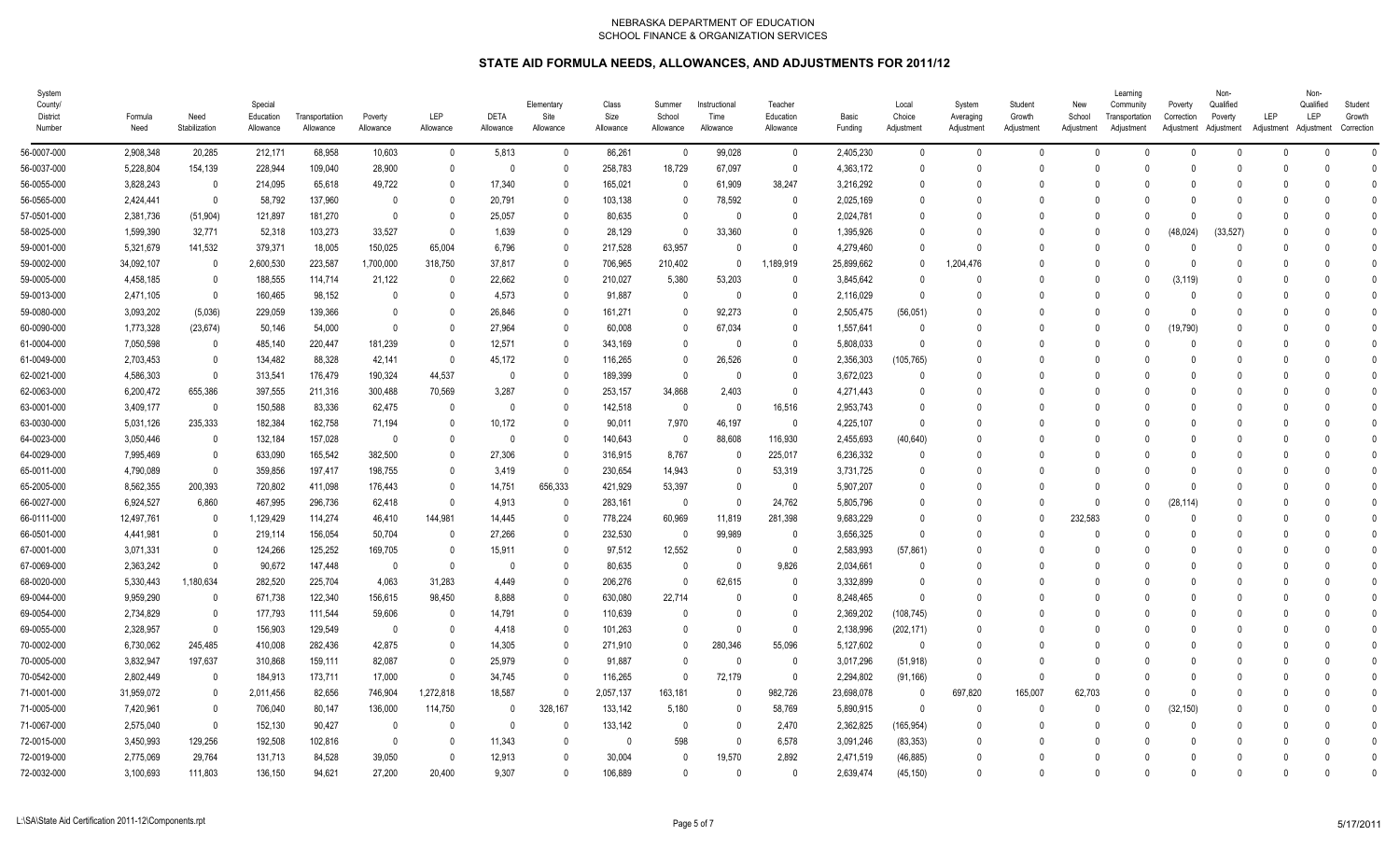| System<br>County/<br>District<br>Number | Formula<br>Need | Need<br>Stabilization    | Special<br>Education<br>Allowance | Transportatiion<br>Allowance | Poverty<br>Allowance | <b>LEP</b><br>Allowance | <b>DETA</b><br>Allowance | Elementary<br>Site<br>Allowance | Class<br>Size<br>Allowance | Summer<br>School<br>Allowance | Instructional<br>Time<br>Allowance | Teacher<br>Education<br>Allowance | Basic<br>Funding | Local<br>Choice<br>Adjustment | System<br>Averaging<br>Adjustment | Student<br>Growth<br>Adjustment | New<br>School<br>Adjustment | Learning<br>Community<br>Transportation<br>Adjustment | Poverty<br>Correction<br>Adjustment Adjustment | Non-<br>Qualified<br>Poverty | LEP<br>Adjustment Adjustment | Non-<br>Qualified<br>LEP | Student<br>Growth<br>Correction |
|-----------------------------------------|-----------------|--------------------------|-----------------------------------|------------------------------|----------------------|-------------------------|--------------------------|---------------------------------|----------------------------|-------------------------------|------------------------------------|-----------------------------------|------------------|-------------------------------|-----------------------------------|---------------------------------|-----------------------------|-------------------------------------------------------|------------------------------------------------|------------------------------|------------------------------|--------------------------|---------------------------------|
| 56-0007-000                             | 2,908,348       | 20,285                   | 212,171                           | 68,958                       | 10,603               | $\overline{0}$          | 5,813                    | $\mathbf{0}$                    | 86,261                     | $\mathbf{0}$                  | 99,028                             | $\mathbf 0$                       | 2,405,230        | $\mathbf{0}$                  | $\mathbf{0}$                      | $\Omega$                        | $\Omega$                    | $\Omega$                                              | $\mathbf{0}$                                   | $\Omega$                     | $\Omega$                     | $\Omega$                 | $\Omega$                        |
| 56-0037-000                             | 5,228,804       | 154,139                  | 228,944                           | 109,040                      | 28,900               | $\Omega$                | $\mathbf{0}$             | $\Omega$                        | 258,783                    | 18,729                        | 67,097                             | $\mathbf{0}$                      | 4,363,172        | $\theta$                      | $\Omega$                          | $\Omega$                        | $\Omega$                    |                                                       | U.                                             | $\Omega$                     | U                            | U                        | $\Omega$                        |
| 56-0055-000                             | 3,828,243       | - 0                      | 214,095                           | 65,618                       | 49,722               | $\Omega$                | 17,340                   | 0                               | 165,021                    | $\Omega$                      | 61,909                             | 38,247                            | 3,216,292        | $\Omega$                      | $\Omega$                          |                                 |                             |                                                       |                                                |                              |                              |                          | $\sqrt{ }$                      |
| 56-0565-000                             | 2,424,441       | $\overline{\mathbf{0}}$  | 58,792                            | 137,960                      | $\Omega$             | $\Omega$                | 20,791                   | 0                               | 103,138                    | 0                             | 78,592                             | 0                                 | 2,025,169        | $\Omega$                      | $\Omega$                          | $\Omega$                        |                             |                                                       |                                                | <sup>0</sup>                 | n                            |                          |                                 |
| 57-0501-000                             | 2,381,736       | (51, 904)                | 121,897                           | 181,270                      | $\mathbf{0}$         | $\mathbf{0}$            | 25,057                   | 0                               | 80,635                     | $\mathbf{0}$                  | $\theta$                           | $\mathbf{0}$                      | 2,024,781        | $\theta$                      | $\Omega$                          | $\Omega$                        |                             |                                                       |                                                | $\Omega$                     | 0                            |                          |                                 |
| 58-0025-000                             | 1,599,390       | 32,771                   | 52,318                            | 103,273                      | 33,527               | - 0                     | 1,639                    | 0                               | 28,129                     | $\mathbf{0}$                  | 33,360                             | $\mathbf{0}$                      | 1,395,926        | $\theta$                      |                                   | $\Omega$                        | $\cap$                      |                                                       | (48, 024)                                      | (33, 527)                    |                              |                          | $\sqrt{ }$                      |
| 59-0001-000                             | 5,321,679       | 141,532                  | 379,371                           | 18,005                       | 150,025              | 65,004                  | 6,796                    | $\Omega$                        | 217,528                    | 63,957                        | $\theta$                           | $\mathbf{0}$                      | 4,279,460        | $\theta$                      | $\Omega$                          | $\Omega$                        | $\cap$                      |                                                       |                                                | $\Omega$                     |                              |                          | $\sqrt{ }$                      |
| 59-0002-000                             | 34,092,107      | $\overline{\phantom{0}}$ | 2,600,530                         | 223,587                      | 1,700,000            | 318,750                 | 37,817                   |                                 | 706,965                    | 210,402                       | $\mathbf{0}$                       | 1,189,919                         | 25,899,662       | $\Omega$                      | 1,204,476                         |                                 | $\cap$                      |                                                       |                                                |                              |                              |                          |                                 |
| 59-0005-000                             | 4,458,185       | $\overline{\mathbf{0}}$  | 188,555                           | 114,714                      | 21,122               | 0                       | 22,662                   | $\Omega$                        | 210,027                    | 5,380                         | 53,203                             | 0                                 | 3,845,642        | $\Omega$                      | $\Omega$                          | $\Omega$                        | $\Omega$                    |                                                       | (3, 119)                                       | $\Omega$                     |                              |                          | $\Omega$                        |
| 59-0013-000                             | 2,471,105       | $\overline{0}$           | 160,465                           | 98,152                       | $\Omega$             | $\Omega$                | 4,573                    | 0                               | 91,887                     | $\Omega$                      | 0                                  | $\Omega$                          | 2,116,029        | $\Omega$                      |                                   |                                 |                             |                                                       | $\Omega$                                       |                              |                              |                          | $\Omega$                        |
| 59-0080-000                             | 3,093,202       | (5,036)                  | 229,059                           | 139,366                      | $\mathbf{0}$         | $\Omega$                | 26,846                   | 0                               | 161,271                    | 0                             | 92,273                             | 0                                 | 2,505,475        | (56, 051)                     |                                   | $\Omega$                        |                             |                                                       | $\mathsf{O}$                                   |                              |                              |                          |                                 |
| 60-0090-000                             | 1,773,328       | (23, 674)                | 50,146                            | 54,000                       | $\Omega$             | $\Omega$                | 27,964                   | $\Omega$                        | 60,008                     | $\mathbf{0}$                  | 67,034                             | $\mathbf 0$                       | 1,557,641        | $\mathbf 0$                   |                                   | $\Omega$                        | $\cap$                      |                                                       | 19,790)                                        |                              |                              |                          | $\sqrt{ }$                      |
| 61-0004-000                             | 7,050,598       | $\overline{\mathbf{0}}$  | 485,140                           | 220,447                      | 181,239              | 0                       | 12,571                   | 0                               | 343,169                    | $\mathbf{0}$                  | $\theta$                           | $\mathbf{0}$                      | 5,808,033        | $\mathbf{0}$                  | $\Omega$                          | $\Omega$                        |                             |                                                       | $\Omega$                                       |                              |                              |                          | $\Omega$                        |
| 61-0049-000                             | 2,703,453       | $\overline{\mathbf{0}}$  | 134,482                           | 88,328                       | 42,141               | $\overline{0}$          | 45,172                   | 0                               | 116,265                    | $\mathbf 0$                   | 26,526                             | $\mathbf{0}$                      | 2,356,303        | (105, 765)                    | $\Omega$                          | $\Omega$                        | $\cap$                      |                                                       |                                                | $\Omega$                     | 0                            |                          | $\sqrt{ }$                      |
| 62-0021-000                             | 4,586,303       | 0                        | 313,541                           | 176,479                      | 190,324              | 44,537                  | $\mathbf{0}$             | 0                               | 189,399                    | $\Omega$                      | 0                                  | 0                                 | 3,672,023        | 0                             |                                   |                                 |                             |                                                       |                                                |                              |                              |                          |                                 |
| 62-0063-000                             | 6,200,472       | 655,386                  | 397,555                           | 211,316                      | 300,488              | 70,569                  | 3,287                    | $\Omega$                        | 253,157                    | 34,868                        | 2,403                              | 0                                 | 4,271,443        | $\Omega$                      | $\Omega$                          | $\Omega$                        | - 0                         |                                                       |                                                | $\Omega$                     | n                            |                          | $\Omega$                        |
| 63-0001-000                             | 3,409,177       | - 0                      | 150,588                           | 83,336                       | 62,475               | - 0                     | $\theta$                 | 0                               | 142,518                    | $\Omega$                      | $\Omega$                           | 16,516                            | 2,953,743        | $\Omega$                      | $\Omega$                          | $\bigcap$                       |                             |                                                       |                                                |                              |                              |                          | $\Omega$                        |
| 63-0030-000                             | 5,031,126       | 235,333                  | 182,384                           | 162,758                      | 71,194               | $\Omega$                | 10,172                   | 0                               | 90,011                     | 7,970                         | 46.197                             | $\mathbf{0}$                      | 4,225,107        | $\Omega$                      |                                   |                                 |                             |                                                       |                                                |                              |                              |                          |                                 |
| 64-0023-000                             | 3,050,446       | $\overline{\mathbf{0}}$  | 132,184                           | 157,028                      | $\Omega$             | $\Omega$                | $\mathbf{0}$             | $\Omega$                        | 140,643                    | $\mathbf{0}$                  | 88,608                             | 116,930                           | 2,455,693        | (40, 640)                     |                                   | $\Omega$                        |                             |                                                       |                                                |                              |                              |                          | $\sqrt{ }$                      |
| 64-0029-000                             | 7,995,469       | $\overline{\mathbf{0}}$  | 633,090                           | 165,542                      | 382,500              | 0                       | 27,306                   | 0                               | 316,915                    | 8,767                         | 0                                  | 225,017                           | 6,236,332        | $\Omega$                      |                                   | $\bigcap$                       |                             |                                                       |                                                | <sup>0</sup>                 |                              |                          | -0                              |
| 65-0011-000                             | 4,790,089       | $\overline{\mathbf{0}}$  | 359,856                           | 197,417                      | 198,755              | 0                       | 3,419                    | $\mathbf{0}$                    | 230,654                    | 14,943                        | $\mathbf{0}$                       | 53,319                            | 3,731,725        | $\mathbf{0}$                  | $\Omega$                          | - 0                             | $\cap$                      |                                                       |                                                | $\Omega$                     |                              |                          | $\sqrt{ }$                      |
| 65-2005-000                             | 8,562,355       | 200,393                  | 720,802                           | 411,098                      | 176,443              | - 0                     | 14,751                   | 656,333                         | 421,929                    | 53,397                        | 0                                  | $\mathbf{0}$                      | 5,907,207        | 0                             | $\Omega$                          |                                 | $\cap$                      |                                                       | $\Omega$                                       | <sup>0</sup>                 |                              |                          | $\sqrt{ }$                      |
| 66-0027-000                             | 6,924,527       | 6,860                    | 467,995                           | 296,736                      | 62,418               | 0                       | 4,913                    | $\Omega$                        | 283,161                    | 0                             | $\Omega$                           | 24,762                            | 5,805,796        | $\Omega$                      | $\Omega$                          | - 0                             | $\Omega$                    |                                                       | (28, 114)                                      | $\Omega$                     |                              |                          | $\Omega$                        |
| 66-0111-000                             | 12,497,761      | $\overline{\phantom{0}}$ | 1,129,429                         | 114,274                      | 46,410               | 144,981                 | 14,445                   | 0                               | 778,224                    | 60,969                        | 11,819                             | 281,398                           | 9,683,229        | $\Omega$                      | $\Omega$                          | $\bigcap$                       | 232,583                     |                                                       | $\Omega$                                       | $\Omega$                     | 0                            |                          | $\Omega$                        |
| 66-0501-000                             | 4,441,981       | - 0                      | 219,114                           | 156,054                      | 50,704               | - 0                     | 27,266                   | 0                               | 232,530                    | $\Omega$                      | 99.989                             | $\mathbf{0}$                      | 3,656,325        | $\Omega$                      | $\Omega$                          |                                 |                             |                                                       |                                                |                              |                              |                          |                                 |
| 67-0001-000                             | 3,071,331       | $\overline{0}$           | 124,266                           | 125,252                      | 169,705              | $\Omega$                | 15,911                   | $\Omega$                        | 97,512                     | 12,552                        | $\Omega$                           | $\mathbf{0}$                      | 2,583,993        | (57, 861)                     |                                   | $\Omega$                        |                             |                                                       |                                                |                              |                              |                          | $\sqrt{ }$                      |
| 67-0069-000                             | 2,363,242       | $\Omega$                 | 90,672                            | 147,448                      | 0                    | $\Omega$                | $\mathbf{0}$             | 0                               | 80,635                     | $\mathbf{0}$                  | $\Omega$                           | 9,826                             | 2,034,661        | $\Omega$                      |                                   |                                 |                             |                                                       |                                                |                              |                              |                          | $\sqrt{ }$                      |
| 68-0020-000                             | 5,330,443       | 1,180,634                | 282,520                           | 225,704                      | 4,063                | 31,283                  | 4,449                    | 0                               | 206,276                    | $\mathbf{0}$                  | 62,615                             | $\mathbf{0}$                      | 3,332,899        | $\mathbf 0$                   | $\Omega$                          | $\Omega$                        |                             |                                                       |                                                |                              |                              |                          | $\sqrt{ }$                      |
| 69-0044-000                             | 9,959,290       | $\overline{0}$           | 671,738                           | 122,340                      | 156,615              | 98,450                  | 8,888                    | O                               | 630,080                    | 22,714                        | 0                                  | $\mathbf 0$                       | 8,248,465        | $\Omega$                      | $\Omega$                          |                                 |                             |                                                       |                                                |                              |                              |                          | $\sqrt{ }$                      |
| 69-0054-000                             | 2,734,829       | $\overline{\mathbf{0}}$  | 177,793                           | 111,544                      | 59,606               | - 0                     | 14,791                   | 0                               | 110,639                    | -0                            | 0                                  | $\mathbf{0}$                      | 2,369,202        | (108, 745)                    | $\Omega$                          | $\Omega$                        |                             |                                                       |                                                | $\Omega$                     |                              |                          | -0                              |
| 69-0055-000                             | 2,328,957       | $\overline{\phantom{0}}$ | 156,903                           | 129,549                      | 0                    | 0                       | 4,418                    |                                 | 101,263                    | $\mathbf{0}$                  | $\Omega$                           | $\mathbf{0}$                      | 2,138,996        | (202, 171)                    | $\Omega$                          | $\Omega$                        |                             |                                                       |                                                |                              |                              |                          | $\Omega$                        |
| 70-0002-000                             | 6,730,062       | 245,485                  | 410,008                           | 282,436                      | 42,875               | 0                       | 14,305                   |                                 | 271,910                    | $\mathbf{0}$                  | 280,346                            | 55,096                            | 5,127,602        | - 0                           | $\Omega$                          |                                 |                             |                                                       |                                                |                              |                              |                          |                                 |
| 70-0005-000                             | 3,832,947       | 197,637                  | 310,868                           | 159,111                      | 82,087               | 0                       | 25,979                   | $\Omega$                        | 91,887                     | $\mathbf{0}$                  | $\theta$                           | $\mathbf{0}$                      | 3,017,296        | (51, 918)                     | $\Omega$                          | $\Omega$                        | $\cap$                      |                                                       |                                                | <sup>0</sup>                 |                              |                          | $\sqrt{ }$                      |
| 70-0542-000                             | 2,802,449       | $\overline{\mathbf{0}}$  | 184,913                           | 173,711                      | 17,000               | $\Omega$                | 34,745                   | 0                               | 116,265                    | $\Omega$                      | 72,179                             | $\mathbf{0}$                      | 2,294,802        | (91, 166)                     | $\Omega$                          | $\bigcap$                       | $\cap$                      |                                                       |                                                | <sup>0</sup>                 |                              |                          | $\Omega$                        |
| 71-0001-000                             | 31,959,072      | $\overline{\mathbf{0}}$  | 2,011,456                         | 82,656                       | 746,904              | 1,272,818               | 18,587                   | $\Omega$                        | 2,057,137                  | 163,181                       | 0                                  | 982,726                           | 23,698,078       | $\mathbf 0$                   | 697,820                           | 165,007                         | 62,703                      |                                                       |                                                | $\Omega$                     |                              |                          |                                 |
| 71-0005-000                             | 7,420,961       | $\overline{0}$           | 706,040                           | 80,147                       | 136,000              | 114,750                 | $\mathbf{0}$             | 328,167                         | 133,142                    | 5,180                         | $\theta$                           | 58,769                            | 5,890,915        | $\mathbf{0}$                  | $\overline{0}$                    |                                 | $\cap$                      |                                                       | (32, 150)                                      |                              |                              |                          | $\sqrt{ }$                      |
| 71-0067-000                             | 2,575,040       | $\overline{\mathbf{0}}$  | 152,130                           | 90,427                       | $^{\circ}$           | - 0                     | $\mathbf 0$              | O                               | 133,142                    | 0                             | 0                                  | 2,470                             | 2,362,825        | (165, 954)                    | $\overline{0}$                    | - 0                             | $\Omega$                    |                                                       | $\Omega$                                       | $\Omega$                     |                              |                          | -0                              |
| 72-0015-000                             | 3,450,993       | 129,256                  | 192,508                           | 102,816                      | $\Omega$             | - 0                     | 11,343                   | 0                               | - 0                        | 598                           | 0                                  | 6,578                             | 3,091,246        | (83, 353)                     | $\Omega$                          | $\Omega$                        |                             |                                                       |                                                |                              |                              |                          | -0                              |
| 72-0019-000                             | 2,775,069       | 29,764                   | 131,713                           | 84,528                       | 39,050               | - 0                     | 12,913                   |                                 | 30,004                     | $\mathbf{0}$                  | 19,570                             | 2,892                             | 2,471,519        | (46, 885)                     |                                   | $\Omega$                        |                             |                                                       |                                                |                              |                              |                          | $\sqrt{ }$                      |
| 72-0032-000                             | 3,100,693       | 111,803                  | 136,150                           | 94,621                       | 27.200               | 20,400                  | 9.307                    | $\Omega$                        | 106.889                    | $\mathbf{0}$                  | $\mathbf{0}$                       | $\mathbf{0}$                      | 2,639,474        | (45, 150)                     | $\Omega$                          | $\Omega$                        | $\cap$                      |                                                       | U.                                             | $\Omega$                     | 0                            | $\Omega$                 |                                 |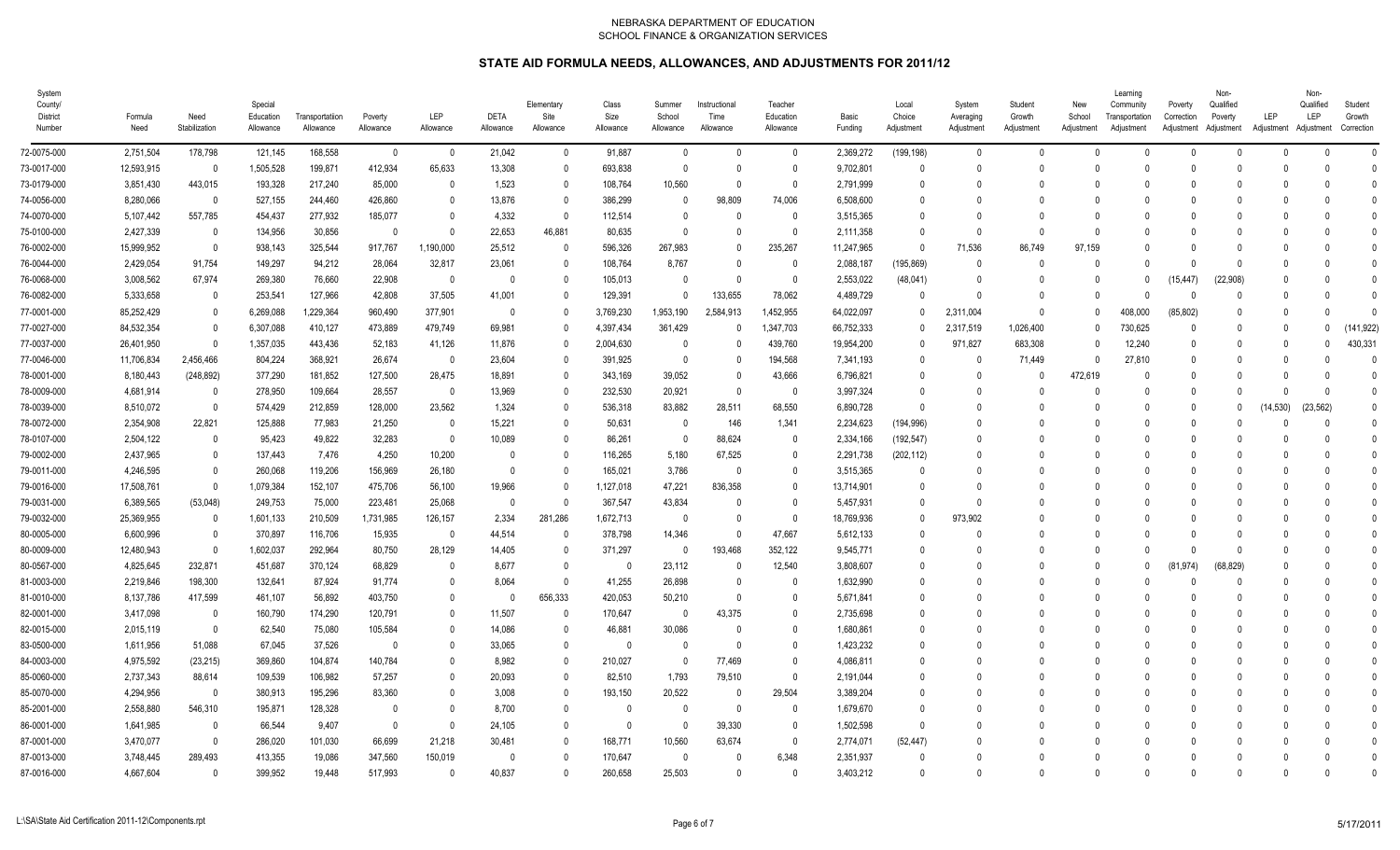| System<br>County/<br>District<br>Number | Formula<br>Need | Need<br>Stabilization    | Special<br>Education<br>Allowance | Transportatiion<br>Allowance | Poverty<br>Allowance | <b>LEP</b><br>Allowance | <b>DETA</b><br>Allowance | Elementary<br>Site<br>Allowance | Class<br>Size<br>Allowance | Summer<br>School<br>Allowance | Instructional<br>Time<br>Allowance | Teacher<br>Education<br>Allowance | Basic<br>Funding | Local<br>Choice<br>Adjustment | System<br>Averaging<br>Adjustment | Student<br>Growth<br>Adjustment | New<br>School<br>Adjustment | Learning<br>Community<br>Transportation<br>Adjustment | Poverty<br>Correction | Non-<br>Qualified<br>Poverty<br>Adjustment Adjustment | LEP<br>Adjustment Adjustment | Non-<br>Qualified<br>LEP | Student<br>Growth<br>Correction |
|-----------------------------------------|-----------------|--------------------------|-----------------------------------|------------------------------|----------------------|-------------------------|--------------------------|---------------------------------|----------------------------|-------------------------------|------------------------------------|-----------------------------------|------------------|-------------------------------|-----------------------------------|---------------------------------|-----------------------------|-------------------------------------------------------|-----------------------|-------------------------------------------------------|------------------------------|--------------------------|---------------------------------|
| 72-0075-000                             | 2,751,504       | 178,798                  | 121,145                           | 168,558                      | $\mathbf 0$          | $\overline{0}$          | 21,042                   | $\mathbf{0}$                    | 91,887                     | $\mathbf 0$                   | $\mathbf 0$                        | $\mathbf 0$                       | 2,369,272        | (199, 198)                    | $\mathbf 0$                       | $\mathbf{0}$                    | $\Omega$                    | $\Omega$                                              | $\mathbf 0$           | $\Omega$                                              | $\Omega$                     | $\mathsf{U}$             |                                 |
| 73-0017-000                             | 12,593,915      | $\overline{\mathbf{0}}$  | 1,505,528                         | 199,871                      | 412,934              | 65,633                  | 13,308                   | $\Omega$                        | 693,838                    | $\mathbf{0}$                  | $\Omega$                           | $\mathbf{0}$                      | 9,702,801        | $\theta$                      | $\mathbf{0}$                      | $\Omega$                        | $\mathbf{0}$                | 0                                                     | 0                     |                                                       |                              | $\Omega$                 | $\Omega$                        |
| 73-0179-000                             | 3,851,430       | 443,015                  | 193,328                           | 217,240                      | 85,000               | 0                       | 1,523                    |                                 | 108,764                    | 10,560                        | $\Omega$                           | $\Omega$                          | 2,791,999        | 0                             | $\Omega$                          |                                 | $\Omega$                    | -0                                                    | -0                    |                                                       |                              |                          |                                 |
| 74-0056-000                             | 8,280,066       | $\overline{\mathbf{0}}$  | 527,155                           | 244,460                      | 426,860              | $\Omega$                | 13,876                   | 0                               | 386,299                    | $\Omega$                      | 98,809                             | 74,006                            | 6,508,600        | 0                             | 0                                 | n                               | $\Omega$                    | -0                                                    | -0                    |                                                       |                              |                          |                                 |
| 74-0070-000                             | 5,107,442       | 557,785                  | 454,437                           | 277,932                      | 185,077              | $\Omega$                | 4,332                    | $\Omega$                        | 112,514                    | $\Omega$                      | $\Omega$                           | $\mathbf{0}$                      | 3,515,365        |                               | $\Omega$                          | $\Omega$                        | $\Omega$                    | -0                                                    | -0                    |                                                       |                              |                          |                                 |
| 75-0100-000                             | 2,427,339       | $\overline{\mathbf{0}}$  | 134,956                           | 30,856                       | $\mathbf{0}$         | $\Omega$                | 22,653                   | 46,881                          | 80.635                     | $\mathbf{0}$                  | $\Omega$                           | $\mathbf{0}$                      | 2,111,358        | 0                             | $\Omega$                          | $\Omega$                        | $\Omega$                    |                                                       | -0                    |                                                       |                              |                          |                                 |
| 76-0002-000                             | 15.999.952      | $\overline{0}$           | 938,143                           | 325,544                      | 917,767              | 1,190,000               | 25,512                   |                                 | 596,326                    | 267,983                       | $\Omega$                           | 235,267                           | 11,247,965       | $\Omega$                      | 71.536                            | 86.749                          | 97.159                      |                                                       | -0                    |                                                       |                              |                          |                                 |
| 76-0044-000                             | 2,429,054       | 91,754                   | 149,297                           | 94,212                       | 28,064               | 32,817                  | 23,061                   |                                 | 108,764                    | 8,767                         | $\Omega$                           | $\overline{0}$                    | 2,088,187        | (195, 869)                    | $\mathbf{0}$                      |                                 | $\Omega$                    | $\cup$                                                | -0                    | $\Omega$                                              |                              |                          |                                 |
| 76-0068-000                             | 3,008,562       | 67,974                   | 269,380                           | 76,660                       | 22,908               | - 0                     | $\mathbf{0}$             | $\Omega$                        | 105,013                    | $\mathbf{0}$                  | $\Omega$                           | $\mathbf{0}$                      | 2,553,022        | (48, 041)                     | $\mathbf{0}$                      | $\Omega$                        | $\Omega$                    | 0                                                     | (15, 447)             | (22,908)                                              |                              |                          | $\Omega$                        |
| 76-0082-000                             | 5,333,658       | $\overline{\mathbf{0}}$  | 253,541                           | 127,966                      | 42,808               | 37,505                  | 41,001                   |                                 | 129,391                    | $\Omega$                      | 133,655                            | 78,062                            | 4,489,729        | $\Omega$                      | $\Omega$                          | $\Omega$                        | $\Omega$                    | $\cup$                                                | $\Omega$              |                                                       | $\Omega$                     |                          | $\Omega$                        |
| 77-0001-000                             | 85,252,429      | $\overline{\mathbf{0}}$  | 6,269,088                         | 1,229,364                    | 960,490              | 377,901                 | 0                        |                                 | 3,769,230                  | 1,953,190                     | 2,584,913                          | 1,452,955                         | 64,022,097       | 0                             | 2,311,004                         | $\Omega$                        | $\Omega$                    | 408,000                                               | (85, 802)             |                                                       | $\Omega$                     |                          | $\Omega$                        |
| 77-0027-000                             | 84,532,354      | $\overline{\mathbf{0}}$  | 6,307,088                         | 410,127                      | 473,889              | 479,749                 | 69,981                   |                                 | 4,397,434                  | 361,429                       | $\Omega$                           | 1,347,703                         | 66,752,333       | 0                             | 2,317,519                         | 1,026,400                       | $\mathbf{0}$                | 730,625                                               | $\mathbf{0}$          |                                                       | $\Omega$                     |                          | (141, 922)                      |
| 77-0037-000                             | 26,401,950      | - 0                      | 1,357,035                         | 443,436                      | 52,183               | 41,126                  | 11,876                   | 0                               | 2,004,630                  | 0                             | $\Omega$                           | 439,760                           | 19,954,200       | 0                             | 971,827                           | 683,308                         | 0                           | 12,240                                                | 0                     |                                                       | $\Omega$                     |                          | 430,331                         |
| 77-0046-000                             | 11,706,834      | 2,456,466                | 804,224                           | 368,921                      | 26,674               | - 0                     | 23,604                   |                                 | 391,925                    | $\mathbf{0}$                  | $\mathbf{0}$                       | 194,568                           | 7,341,193        | $\theta$                      | $\Omega$                          | 71,449                          | $\mathbf{0}$                | 27,810                                                | $\mathbf{0}$          |                                                       | $\Omega$                     |                          |                                 |
| 78-0001-000                             | 8,180,443       | (248, 892)               | 377,290                           | 181,852                      | 127,500              | 28,475                  | 18,891                   | 0                               | 343,169                    | 39,052                        | 0                                  | 43,666                            | 6,796,821        |                               | $\Omega$                          | $\Omega$                        | 472,619                     | 0                                                     | 0                     |                                                       |                              | - 0                      | $\Omega$                        |
| 78-0009-000                             | 4,681,914       | $\overline{\mathbf{0}}$  | 278,950                           | 109,664                      | 28,557               | 0                       | 13,969                   | $\Omega$                        | 232,530                    | 20,921                        | $\Omega$                           | 0                                 | 3,997,324        | 0                             | $\mathbf{0}$                      | $\Omega$                        | 0                           | 0                                                     | $\mathbf{0}$          |                                                       |                              | $\Omega$                 | $\theta$                        |
| 78-0039-000                             | 8,510,072       | - 0                      | 574,429                           | 212,859                      | 128,000              | 23,562                  | 1,324                    |                                 | 536,318                    | 83,882                        | 28,511                             | 68,550                            | 6,890,728        | $\Omega$                      | $\Omega$                          | 0                               | $\Omega$                    | -0                                                    | $\mathbf{0}$          | -0                                                    | 14,530)                      | (23, 562)                | $\theta$                        |
| 78-0072-000                             | 2,354,908       | 22,821                   | 125,888                           | 77,983                       | 21,250               | - 0                     | 15,221                   |                                 | 50,631                     | 0                             | 146                                | 1,341                             | 2,234,623        | (194, 996)                    | $\Omega$                          | $\Omega$                        | $\Omega$                    | n                                                     | 0                     |                                                       |                              | $\Omega$                 |                                 |
| 78-0107-000                             | 2,504,122       | $\overline{\mathbf{0}}$  | 95,423                            | 49,822                       | 32,283               | - 0                     | 10,089                   |                                 | 86,261                     | $\Omega$                      | 88,624                             | 0                                 | 2,334,166        | (192, 547)                    | $\Omega$                          | n                               | $\Omega$                    | -0                                                    | -0                    |                                                       |                              | $\Omega$                 | $\Omega$                        |
| 79-0002-000                             | 2,437,965       | $\overline{0}$           | 137.443                           | 7,476                        | 4,250                | 10,200                  | $\Omega$                 | 0                               | 116,265                    | 5,180                         | 67,525                             | 0                                 | 2,291,738        | (202, 112)                    | $\Omega$                          | $\Omega$                        | $\Omega$                    | n                                                     | -0                    |                                                       |                              |                          | $\Omega$                        |
| 79-0011-000                             | 4.246.595       | $\overline{0}$           | 260,068                           | 119,206                      | 156,969              | 26,180                  | $\mathbf{0}$             |                                 | 165,021                    | 3,786                         | $\Omega$                           | $\mathbf{0}$                      | 3,515,365        |                               | $\Omega$                          |                                 | $\Omega$                    |                                                       | -0                    |                                                       |                              |                          |                                 |
| 79-0016-000                             | 17,508,761      | $\overline{0}$           | 1,079,384                         | 152,107                      | 475,706              | 56,100                  | 19,966                   |                                 | 1,127,018                  | 47,221                        | 836.358                            | $\mathbf{0}$                      | 13.714.901       |                               | $\Omega$                          |                                 | $\Omega$                    |                                                       | -0                    |                                                       |                              |                          |                                 |
| 79-0031-000                             | 6,389,565       | (53,048)                 | 249,753                           | 75,000                       | 223,481              | 25,068                  | $\mathbf{0}$             |                                 | 367,547                    | 43,834                        | $\Omega$                           | $\mathbf{0}$                      | 5,457,931        | $\Omega$                      | $\mathbf{0}$                      | $\Omega$                        | $\Omega$                    |                                                       | -0                    |                                                       |                              |                          |                                 |
| 79-0032-000                             | 25,369,955      | $\overline{\mathbf{0}}$  | 1,601,133                         | 210,509                      | 1,731,985            | 126,157                 | 2,334                    | 281,286                         | 1,672,713                  | $\mathbf{0}$                  | $\Omega$                           | $\mathbf{0}$                      | 18,769,936       | $\Omega$                      | 973,902                           |                                 | $\Omega$                    | n                                                     | -0                    |                                                       |                              |                          |                                 |
| 80-0005-000                             | 6,600,996       | $\overline{\mathbf{0}}$  | 370,897                           | 116,706                      | 15,935               | - 0                     | 44,514                   |                                 | 378,798                    | 14,346                        | $\Omega$                           | 47,667                            | 5,612,133        | <sup>0</sup>                  | $\Omega$                          | $\Omega$                        | $\Omega$                    | $\cup$                                                | -0                    |                                                       |                              | $\cap$                   |                                 |
| 80-0009-000                             | 12,480,943      | $\overline{\mathbf{0}}$  | 1,602,037                         | 292,964                      | 80,750               | 28,129                  | 14,405                   |                                 | 371,297                    | $\mathbf{0}$                  | 193,468                            | 352,122                           | 9,545,771        |                               | 0                                 |                                 | $\Omega$                    | $\cup$                                                | $\Omega$              |                                                       |                              |                          |                                 |
| 80-0567-000                             | 4,825,645       | 232,871                  | 451,687                           | 370,124                      | 68,829               | 0                       | 8,677                    | 0                               | $\Omega$                   | 23,112                        | $\mathbf{0}$                       | 12,540                            | 3,808,607        | U                             | $\mathbf{0}$                      | $\Omega$                        | $\mathbf{0}$                | $\cup$                                                | .974)<br>(8)          | (68, 829)                                             |                              |                          |                                 |
| 81-0003-000                             | 2,219,846       | 198,300                  | 132,641                           | 87,924                       | 91,774               |                         | 8,064                    |                                 | 41,255                     | 26,898                        | $\Omega$                           | 0                                 | 1,632,990        |                               | $\Omega$                          |                                 | $\Omega$                    |                                                       | -0                    |                                                       |                              |                          |                                 |
| 81-0010-000                             | 8,137,786       | 417,599                  | 461,107                           | 56,892                       | 403,750              | $\theta$                | $\mathbf{0}$             | 656,333                         | 420,053                    | 50,210                        | $\mathbf{0}$                       | 0                                 | 5,671,841        |                               | $\Omega$                          |                                 | $\Omega$                    | -0                                                    | -0                    |                                                       |                              |                          |                                 |
| 82-0001-000                             | 3,417,098       | $\overline{\mathbf{0}}$  | 160,790                           | 174,290                      | 120,791              | $\mathbf{0}$            | 11,507                   |                                 | 170,647                    | $\overline{0}$                | 43,375                             | $\mathbf 0$                       | 2,735,698        |                               | 0                                 |                                 | $\Omega$                    |                                                       | -0                    |                                                       |                              |                          | $\Omega$                        |
| 82-0015-000                             | 2,015,119       | - 0                      | 62,540                            | 75,080                       | 105,584              | $\mathbf{0}$            | 14,086                   |                                 | 46,881                     | 30,086                        | $\Omega$                           | $\mathbf 0$                       | 1,680,861        |                               | 0                                 |                                 | $\Omega$                    | -0                                                    | 0                     |                                                       |                              |                          |                                 |
| 83-0500-000                             | 1,611,956       | 51,088                   | 67,045                            | 37,526                       | $\mathbf{0}$         | $\Omega$                | 33,065                   | $\Omega$                        | - 0                        | 0                             | 0                                  | 0                                 | 1,423,232        | 0                             | $\Omega$                          | $\Omega$                        | $\Omega$                    | -0                                                    | -0                    |                                                       |                              | $\Omega$                 |                                 |
| 84-0003-000                             | 4,975,592       | (23, 215)                | 369,860                           | 104,874                      | 140,784              | $\Omega$                | 8,982                    |                                 | 210,027                    | 0                             | 77,469                             | 0                                 | 4,086,811        |                               | $\Omega$                          |                                 | $\Omega$                    | -0                                                    | -0                    |                                                       |                              |                          |                                 |
| 85-0060-000                             | 2,737,343       | 88,614                   | 109,539                           | 106,982                      | 57,257               | $\Omega$                | 20,093                   | 0                               | 82,510                     | 1,793                         | 79,510                             | $\Omega$                          | 2,191,044        | n                             | $\Omega$                          | n                               | $\Omega$                    | n                                                     | -0                    |                                                       |                              |                          |                                 |
| 85-0070-000                             | 4,294,956       | $\overline{\phantom{0}}$ | 380,913                           | 195,296                      | 83,360               | n                       | 3,008                    |                                 | 193,150                    | 20,522                        | $\Omega$                           | 29,504                            | 3,389,204        |                               | $\Omega$                          | n                               | $\Omega$                    | -0                                                    | $\Omega$              |                                                       | $\Omega$                     |                          |                                 |
| 85-2001-000                             | 2,558,880       | 546,310                  | 195,871                           | 128,328                      | $\mathbf{0}$         |                         | 8,700                    |                                 | $\Omega$                   | $\Omega$                      | $\Omega$                           | $\mathbf{0}$                      | 1,679,670        |                               | $\Omega$                          |                                 | $\Omega$                    |                                                       | -0                    |                                                       |                              |                          |                                 |
| 86-0001-000                             | 1.641.985       | $\overline{0}$           | 66.544                            | 9.407                        | $\Omega$             | $\Omega$                | 24,105                   |                                 | $\Omega$                   | $\mathbf{0}$                  | 39.330                             | $\mathbf{0}$                      | 1.502.598        | 0                             | $\Omega$                          |                                 | $\Omega$                    | 0                                                     | -0                    |                                                       |                              |                          | $\Omega$                        |
| 87-0001-000                             | 3,470,077       | - 0                      | 286,020                           | 101,030                      | 66,699               | 21,218                  | 30,481                   |                                 | 168,771                    | 10,560                        | 63,674                             | $\mathbf{0}$                      | 2,774,071        | (52, 447)                     | $\Omega$                          |                                 | $\Omega$                    | -0                                                    | -0                    |                                                       |                              |                          |                                 |
| 87-0013-000                             | 3,748,445       | 289,493                  | 413,355                           | 19,086                       | 347,560              | 150,019                 | $\Omega$                 |                                 | 170,647                    | $\theta$                      | $\Omega$                           | 6,348                             | 2,351,937        | $\Omega$                      | $\Omega$                          | $\Omega$                        | $\Omega$                    | 0                                                     | -0                    |                                                       |                              |                          | $\Omega$                        |
| 87-0016-000                             | 4,667,604       | $\Omega$                 | 399,952                           | 19,448                       | 517,993              | $\Omega$                | 40,837                   |                                 | 260,658                    | 25,503                        | $\Omega$                           | $\Omega$                          | 3,403,212        | U                             | $\Omega$                          | $\Omega$                        | $\Omega$                    | $\Omega$                                              | $\Omega$              |                                                       |                              | $\cap$                   |                                 |